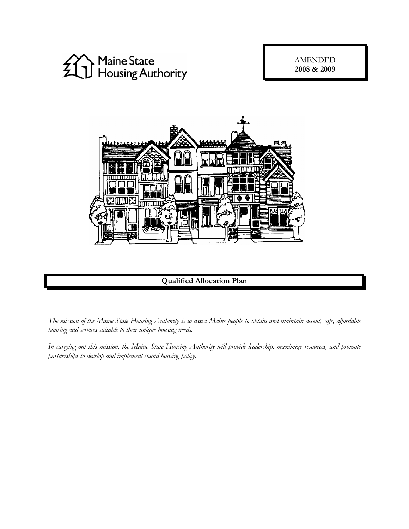

AMENDED **2008 & 2009** 



**Qualified Allocation Plan**

*The mission of the Maine State Housing Authority is to assist Maine people to obtain and maintain decent, safe, affordable housing and services suitable to their unique housing needs.* 

*In carrying out this mission, the Maine State Housing Authority will provide leadership, maximize resources, and promote partnerships to develop and implement sound housing policy.*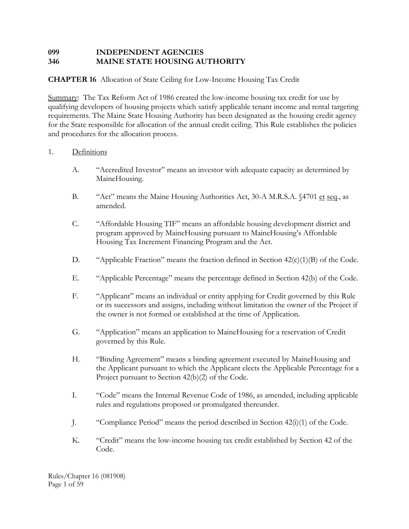# **099 INDEPENDENT AGENCIES 346 MAINE STATE HOUSING AUTHORITY**

# **CHAPTER 16** Allocation of State Ceiling for Low-Income Housing Tax Credit

Summary: The Tax Reform Act of 1986 created the low-income housing tax credit for use by qualifying developers of housing projects which satisfy applicable tenant income and rental targeting requirements. The Maine State Housing Authority has been designated as the housing credit agency for the State responsible for allocation of the annual credit ceiling. This Rule establishes the policies and procedures for the allocation process.

## 1. Definitions

- A. "Accredited Investor" means an investor with adequate capacity as determined by MaineHousing.
- B. "Act" means the Maine Housing Authorities Act, 30-A M.R.S.A. §4701 et seq., as amended.
- C. "Affordable Housing TIF" means an affordable housing development district and program approved by MaineHousing pursuant to MaineHousing's Affordable Housing Tax Increment Financing Program and the Act.
- D. "Applicable Fraction" means the fraction defined in Section  $42(c)(1)(B)$  of the Code.
- E. "Applicable Percentage" means the percentage defined in Section 42(b) of the Code.
- F. "Applicant" means an individual or entity applying for Credit governed by this Rule or its successors and assigns, including without limitation the owner of the Project if the owner is not formed or established at the time of Application.
- G. "Application" means an application to MaineHousing for a reservation of Credit governed by this Rule.
- H. "Binding Agreement" means a binding agreement executed by MaineHousing and the Applicant pursuant to which the Applicant elects the Applicable Percentage for a Project pursuant to Section 42(b)(2) of the Code.
- I. "Code" means the Internal Revenue Code of 1986, as amended, including applicable rules and regulations proposed or promulgated thereunder.
- J. "Compliance Period" means the period described in Section 42(i)(1) of the Code.
- K. "Credit" means the low-income housing tax credit established by Section 42 of the Code.

Rules/Chapter 16 (081908) Page 1 of 59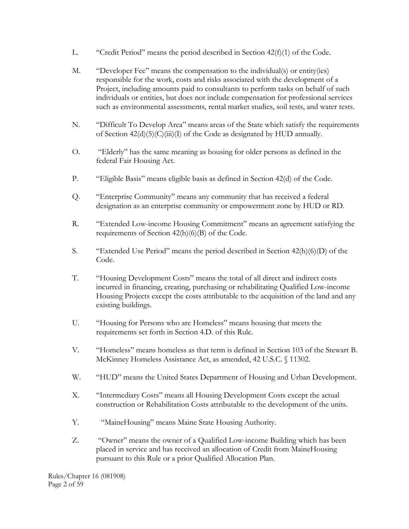- L. "Credit Period" means the period described in Section  $42(f)(1)$  of the Code.
- M. "Developer Fee" means the compensation to the individual(s) or entity(ies) responsible for the work, costs and risks associated with the development of a Project, including amounts paid to consultants to perform tasks on behalf of such individuals or entities, but does not include compensation for professional services such as environmental assessments, rental market studies, soil tests, and water tests.
- N. "Difficult To Develop Area" means areas of the State which satisfy the requirements of Section  $42(d)(5)(C)(iii)(I)$  of the Code as designated by HUD annually.
- O. "Elderly" has the same meaning as housing for older persons as defined in the federal Fair Housing Act.
- P. "Eligible Basis" means eligible basis as defined in Section 42(d) of the Code.
- Q. "Enterprise Community" means any community that has received a federal designation as an enterprise community or empowerment zone by HUD or RD.
- R. "Extended Low-income Housing Commitment" means an agreement satisfying the requirements of Section 42(h)(6)(B) of the Code.
- S. "Extended Use Period" means the period described in Section 42(h)(6)(D) of the Code.
- T. "Housing Development Costs" means the total of all direct and indirect costs incurred in financing, creating, purchasing or rehabilitating Qualified Low-income Housing Projects except the costs attributable to the acquisition of the land and any existing buildings.
- U. "Housing for Persons who are Homeless" means housing that meets the requirements set forth in Section 4.D. of this Rule.
- V. "Homeless" means homeless as that term is defined in Section 103 of the Stewart B. McKinney Homeless Assistance Act, as amended, 42 U.S.C. § 11302.
- W. "HUD" means the United States Department of Housing and Urban Development.
- X. "Intermediary Costs" means all Housing Development Costs except the actual construction or Rehabilitation Costs attributable to the development of the units.
- Y. "MaineHousing" means Maine State Housing Authority.
- Z. "Owner" means the owner of a Qualified Low-income Building which has been placed in service and has received an allocation of Credit from MaineHousing pursuant to this Rule or a prior Qualified Allocation Plan.

Rules/Chapter 16 (081908) Page 2 of 59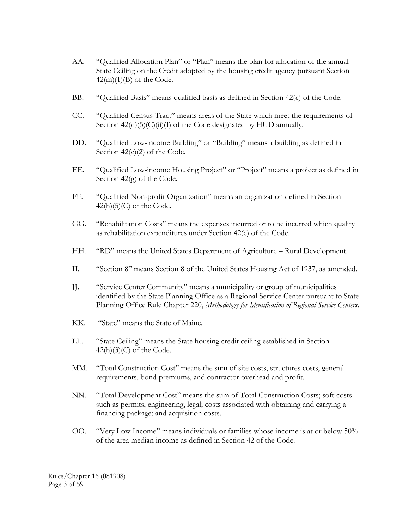- AA. "Qualified Allocation Plan" or "Plan" means the plan for allocation of the annual State Ceiling on the Credit adopted by the housing credit agency pursuant Section  $42(m)(1)(B)$  of the Code.
- BB. "Qualified Basis" means qualified basis as defined in Section 42(c) of the Code.
- CC. "Qualified Census Tract" means areas of the State which meet the requirements of Section  $42(d)(5)(C)(ii)(I)$  of the Code designated by HUD annually.
- DD. "Qualified Low-income Building" or "Building" means a building as defined in Section  $42(c)(2)$  of the Code.
- EE. "Qualified Low-income Housing Project" or "Project" means a project as defined in Section 42(g) of the Code.
- FF. "Qualified Non-profit Organization" means an organization defined in Section  $42(h)(5)(C)$  of the Code.
- GG. "Rehabilitation Costs" means the expenses incurred or to be incurred which qualify as rehabilitation expenditures under Section 42(e) of the Code.
- HH. "RD" means the United States Department of Agriculture Rural Development.
- II. "Section 8" means Section 8 of the United States Housing Act of 1937, as amended.
- JJ. "Service Center Community" means a municipality or group of municipalities identified by the State Planning Office as a Regional Service Center pursuant to State Planning Office Rule Chapter 220, *Methodology for Identification of Regional Service Centers*.
- KK. "State" means the State of Maine.
- LL. "State Ceiling" means the State housing credit ceiling established in Section  $42(h)(3)(C)$  of the Code.
- MM. "Total Construction Cost" means the sum of site costs, structures costs, general requirements, bond premiums, and contractor overhead and profit.
- NN. "Total Development Cost" means the sum of Total Construction Costs; soft costs such as permits, engineering, legal; costs associated with obtaining and carrying a financing package; and acquisition costs.
- OO. "Very Low Income" means individuals or families whose income is at or below 50% of the area median income as defined in Section 42 of the Code.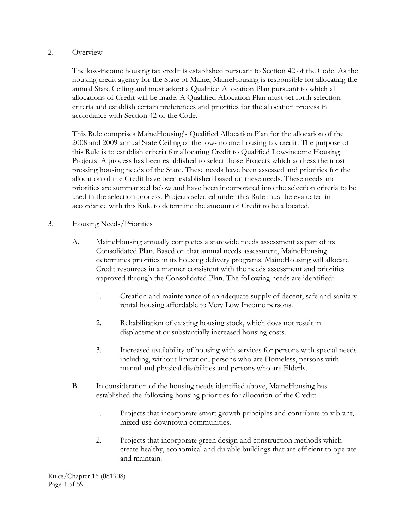#### 2. Overview

 The low-income housing tax credit is established pursuant to Section 42 of the Code. As the housing credit agency for the State of Maine, MaineHousing is responsible for allocating the annual State Ceiling and must adopt a Qualified Allocation Plan pursuant to which all allocations of Credit will be made. A Qualified Allocation Plan must set forth selection criteria and establish certain preferences and priorities for the allocation process in accordance with Section 42 of the Code.

This Rule comprises MaineHousing's Qualified Allocation Plan for the allocation of the 2008 and 2009 annual State Ceiling of the low-income housing tax credit. The purpose of this Rule is to establish criteria for allocating Credit to Qualified Low-income Housing Projects. A process has been established to select those Projects which address the most pressing housing needs of the State. These needs have been assessed and priorities for the allocation of the Credit have been established based on these needs. These needs and priorities are summarized below and have been incorporated into the selection criteria to be used in the selection process. Projects selected under this Rule must be evaluated in accordance with this Rule to determine the amount of Credit to be allocated.

## 3. Housing Needs/Priorities

- A. MaineHousing annually completes a statewide needs assessment as part of its Consolidated Plan. Based on that annual needs assessment, MaineHousing determines priorities in its housing delivery programs. MaineHousing will allocate Credit resources in a manner consistent with the needs assessment and priorities approved through the Consolidated Plan. The following needs are identified:
	- 1. Creation and maintenance of an adequate supply of decent, safe and sanitary rental housing affordable to Very Low Income persons.
	- 2. Rehabilitation of existing housing stock, which does not result in displacement or substantially increased housing costs.
	- 3. Increased availability of housing with services for persons with special needs including, without limitation, persons who are Homeless, persons with mental and physical disabilities and persons who are Elderly.
- B. In consideration of the housing needs identified above, MaineHousing has established the following housing priorities for allocation of the Credit:
	- 1. Projects that incorporate smart growth principles and contribute to vibrant, mixed-use downtown communities.
	- 2. Projects that incorporate green design and construction methods which create healthy, economical and durable buildings that are efficient to operate and maintain.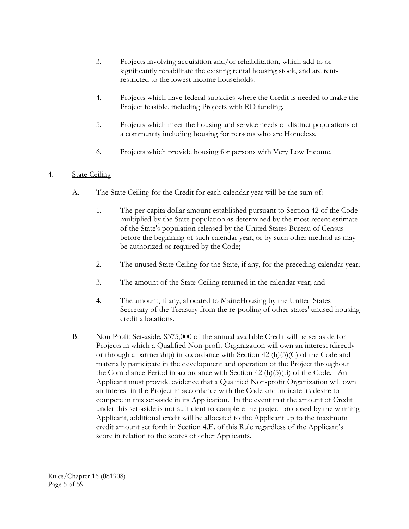- 3. Projects involving acquisition and/or rehabilitation, which add to or significantly rehabilitate the existing rental housing stock, and are rentrestricted to the lowest income households.
- 4. Projects which have federal subsidies where the Credit is needed to make the Project feasible, including Projects with RD funding.
- 5. Projects which meet the housing and service needs of distinct populations of a community including housing for persons who are Homeless.
- 6. Projects which provide housing for persons with Very Low Income.

# 4. State Ceiling

- A. The State Ceiling for the Credit for each calendar year will be the sum of:
	- 1. The per-capita dollar amount established pursuant to Section 42 of the Code multiplied by the State population as determined by the most recent estimate of the State's population released by the United States Bureau of Census before the beginning of such calendar year, or by such other method as may be authorized or required by the Code;
	- 2. The unused State Ceiling for the State, if any, for the preceding calendar year;
	- 3. The amount of the State Ceiling returned in the calendar year; and
	- 4. The amount, if any, allocated to MaineHousing by the United States Secretary of the Treasury from the re-pooling of other states' unused housing credit allocations.
- B. Non Profit Set-aside. \$375,000 of the annual available Credit will be set aside for Projects in which a Qualified Non-profit Organization will own an interest (directly or through a partnership) in accordance with Section 42 (h)(5)(C) of the Code and materially participate in the development and operation of the Project throughout the Compliance Period in accordance with Section 42  $(h)(5)(B)$  of the Code. An Applicant must provide evidence that a Qualified Non-profit Organization will own an interest in the Project in accordance with the Code and indicate its desire to compete in this set-aside in its Application. In the event that the amount of Credit under this set-aside is not sufficient to complete the project proposed by the winning Applicant, additional credit will be allocated to the Applicant up to the maximum credit amount set forth in Section 4.E. of this Rule regardless of the Applicant's score in relation to the scores of other Applicants.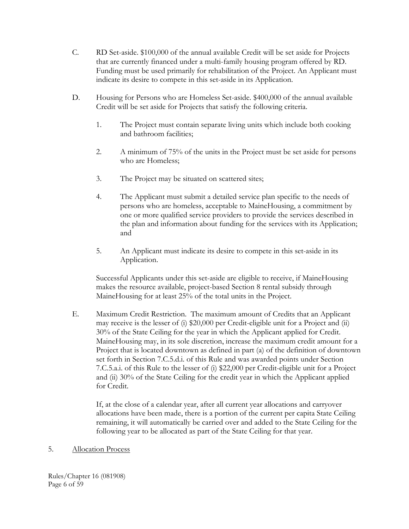- C. RD Set-aside. \$100,000 of the annual available Credit will be set aside for Projects that are currently financed under a multi-family housing program offered by RD. Funding must be used primarily for rehabilitation of the Project. An Applicant must indicate its desire to compete in this set-aside in its Application.
- D. Housing for Persons who are Homeless Set-aside. \$400,000 of the annual available Credit will be set aside for Projects that satisfy the following criteria.
	- 1. The Project must contain separate living units which include both cooking and bathroom facilities;
	- 2. A minimum of 75% of the units in the Project must be set aside for persons who are Homeless;
	- 3. The Project may be situated on scattered sites;
	- 4. The Applicant must submit a detailed service plan specific to the needs of persons who are homeless, acceptable to MaineHousing, a commitment by one or more qualified service providers to provide the services described in the plan and information about funding for the services with its Application; and
	- 5. An Applicant must indicate its desire to compete in this set-aside in its Application.

Successful Applicants under this set-aside are eligible to receive, if MaineHousing makes the resource available, project-based Section 8 rental subsidy through MaineHousing for at least 25% of the total units in the Project.

E. Maximum Credit Restriction. The maximum amount of Credits that an Applicant may receive is the lesser of (i) \$20,000 per Credit-eligible unit for a Project and (ii) 30% of the State Ceiling for the year in which the Applicant applied for Credit. MaineHousing may, in its sole discretion, increase the maximum credit amount for a Project that is located downtown as defined in part (a) of the definition of downtown set forth in Section 7.C.5.d.i. of this Rule and was awarded points under Section 7.C.5.a.i. of this Rule to the lesser of (i) \$22,000 per Credit-eligible unit for a Project and (ii) 30% of the State Ceiling for the credit year in which the Applicant applied for Credit.

 If, at the close of a calendar year, after all current year allocations and carryover allocations have been made, there is a portion of the current per capita State Ceiling remaining, it will automatically be carried over and added to the State Ceiling for the following year to be allocated as part of the State Ceiling for that year.

### 5. Allocation Process

Rules/Chapter 16 (081908) Page 6 of 59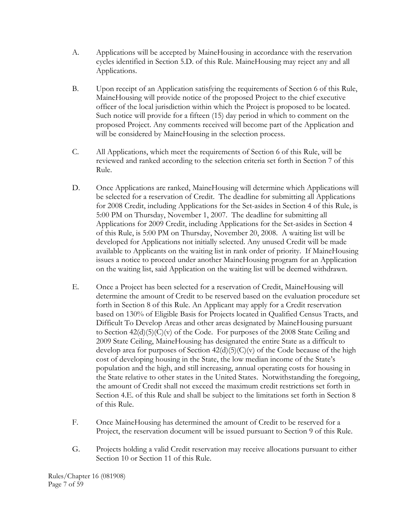- A. Applications will be accepted by MaineHousing in accordance with the reservation cycles identified in Section 5.D. of this Rule. MaineHousing may reject any and all Applications.
- B. Upon receipt of an Application satisfying the requirements of Section 6 of this Rule, MaineHousing will provide notice of the proposed Project to the chief executive officer of the local jurisdiction within which the Project is proposed to be located. Such notice will provide for a fifteen (15) day period in which to comment on the proposed Project. Any comments received will become part of the Application and will be considered by MaineHousing in the selection process.
- C. All Applications, which meet the requirements of Section 6 of this Rule, will be reviewed and ranked according to the selection criteria set forth in Section 7 of this Rule.
- D. Once Applications are ranked, MaineHousing will determine which Applications will be selected for a reservation of Credit. The deadline for submitting all Applications for 2008 Credit, including Applications for the Set-asides in Section 4 of this Rule, is 5:00 PM on Thursday, November 1, 2007. The deadline for submitting all Applications for 2009 Credit, including Applications for the Set-asides in Section 4 of this Rule, is 5:00 PM on Thursday, November 20, 2008. A waiting list will be developed for Applications not initially selected. Any unused Credit will be made available to Applicants on the waiting list in rank order of priority. If MaineHousing issues a notice to proceed under another MaineHousing program for an Application on the waiting list, said Application on the waiting list will be deemed withdrawn.
- E. Once a Project has been selected for a reservation of Credit, MaineHousing will determine the amount of Credit to be reserved based on the evaluation procedure set forth in Section 8 of this Rule. An Applicant may apply for a Credit reservation based on 130% of Eligible Basis for Projects located in Qualified Census Tracts, and Difficult To Develop Areas and other areas designated by MaineHousing pursuant to Section  $42(d)(5)(C)(v)$  of the Code. For purposes of the 2008 State Ceiling and 2009 State Ceiling, MaineHousing has designated the entire State as a difficult to develop area for purposes of Section  $42(d)(5)(C)(v)$  of the Code because of the high cost of developing housing in the State, the low median income of the State's population and the high, and still increasing, annual operating costs for housing in the State relative to other states in the United States. Notwithstanding the foregoing, the amount of Credit shall not exceed the maximum credit restrictions set forth in Section 4.E. of this Rule and shall be subject to the limitations set forth in Section 8 of this Rule.
- F. Once MaineHousing has determined the amount of Credit to be reserved for a Project, the reservation document will be issued pursuant to Section 9 of this Rule.
- G. Projects holding a valid Credit reservation may receive allocations pursuant to either Section 10 or Section 11 of this Rule.

Rules/Chapter 16 (081908) Page 7 of 59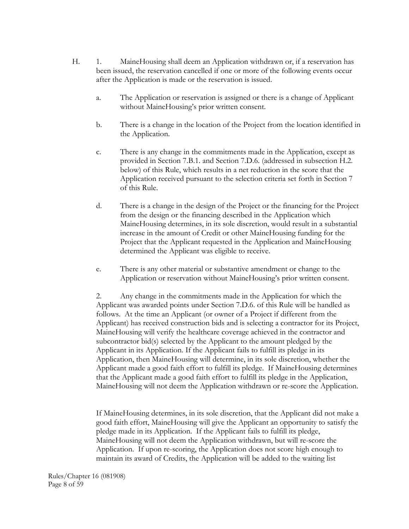- H. 1. MaineHousing shall deem an Application withdrawn or, if a reservation has been issued, the reservation cancelled if one or more of the following events occur after the Application is made or the reservation is issued.
	- a. The Application or reservation is assigned or there is a change of Applicant without MaineHousing's prior written consent.
	- b. There is a change in the location of the Project from the location identified in the Application.
	- c. There is any change in the commitments made in the Application, except as provided in Section 7.B.1. and Section 7.D.6. (addressed in subsection H.2. below) of this Rule, which results in a net reduction in the score that the Application received pursuant to the selection criteria set forth in Section 7 of this Rule.
	- d. There is a change in the design of the Project or the financing for the Project from the design or the financing described in the Application which MaineHousing determines, in its sole discretion, would result in a substantial increase in the amount of Credit or other MaineHousing funding for the Project that the Applicant requested in the Application and MaineHousing determined the Applicant was eligible to receive.
	- e. There is any other material or substantive amendment or change to the Application or reservation without MaineHousing's prior written consent.

2. Any change in the commitments made in the Application for which the Applicant was awarded points under Section 7.D.6. of this Rule will be handled as follows. At the time an Applicant (or owner of a Project if different from the Applicant) has received construction bids and is selecting a contractor for its Project, MaineHousing will verify the healthcare coverage achieved in the contractor and subcontractor bid(s) selected by the Applicant to the amount pledged by the Applicant in its Application. If the Applicant fails to fulfill its pledge in its Application, then MaineHousing will determine, in its sole discretion, whether the Applicant made a good faith effort to fulfill its pledge. If MaineHousing determines that the Applicant made a good faith effort to fulfill its pledge in the Application, MaineHousing will not deem the Application withdrawn or re-score the Application.

If MaineHousing determines, in its sole discretion, that the Applicant did not make a good faith effort, MaineHousing will give the Applicant an opportunity to satisfy the pledge made in its Application. If the Applicant fails to fulfill its pledge, MaineHousing will not deem the Application withdrawn, but will re-score the Application. If upon re-scoring, the Application does not score high enough to maintain its award of Credits, the Application will be added to the waiting list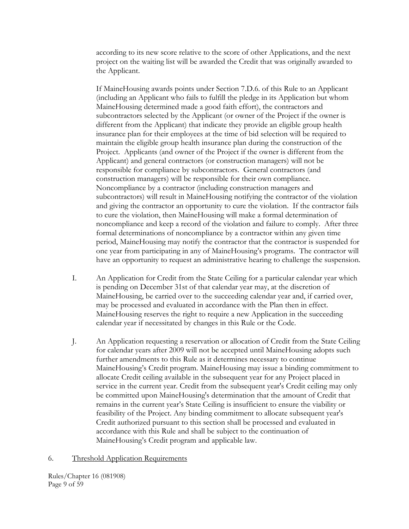according to its new score relative to the score of other Applications, and the next project on the waiting list will be awarded the Credit that was originally awarded to the Applicant.

If MaineHousing awards points under Section 7.D.6. of this Rule to an Applicant (including an Applicant who fails to fulfill the pledge in its Application but whom MaineHousing determined made a good faith effort), the contractors and subcontractors selected by the Applicant (or owner of the Project if the owner is different from the Applicant) that indicate they provide an eligible group health insurance plan for their employees at the time of bid selection will be required to maintain the eligible group health insurance plan during the construction of the Project. Applicants (and owner of the Project if the owner is different from the Applicant) and general contractors (or construction managers) will not be responsible for compliance by subcontractors. General contractors (and construction managers) will be responsible for their own compliance. Noncompliance by a contractor (including construction managers and subcontractors) will result in MaineHousing notifying the contractor of the violation and giving the contractor an opportunity to cure the violation. If the contractor fails to cure the violation, then MaineHousing will make a formal determination of noncompliance and keep a record of the violation and failure to comply. After three formal determinations of noncompliance by a contractor within any given time period, MaineHousing may notify the contractor that the contractor is suspended for one year from participating in any of MaineHousing's programs. The contractor will have an opportunity to request an administrative hearing to challenge the suspension.

- I. An Application for Credit from the State Ceiling for a particular calendar year which is pending on December 31st of that calendar year may, at the discretion of MaineHousing, be carried over to the succeeding calendar year and, if carried over, may be processed and evaluated in accordance with the Plan then in effect. MaineHousing reserves the right to require a new Application in the succeeding calendar year if necessitated by changes in this Rule or the Code.
- J. An Application requesting a reservation or allocation of Credit from the State Ceiling for calendar years after 2009 will not be accepted until MaineHousing adopts such further amendments to this Rule as it determines necessary to continue MaineHousing's Credit program. MaineHousing may issue a binding commitment to allocate Credit ceiling available in the subsequent year for any Project placed in service in the current year. Credit from the subsequent year's Credit ceiling may only be committed upon MaineHousing's determination that the amount of Credit that remains in the current year's State Ceiling is insufficient to ensure the viability or feasibility of the Project. Any binding commitment to allocate subsequent year's Credit authorized pursuant to this section shall be processed and evaluated in accordance with this Rule and shall be subject to the continuation of MaineHousing's Credit program and applicable law.

#### 6. Threshold Application Requirements

Rules/Chapter 16 (081908) Page 9 of 59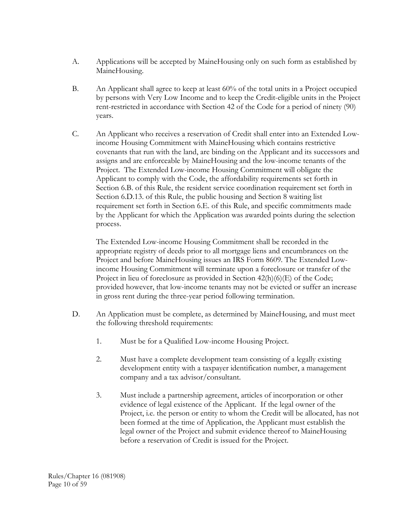- A. Applications will be accepted by MaineHousing only on such form as established by MaineHousing.
- B. An Applicant shall agree to keep at least 60% of the total units in a Project occupied by persons with Very Low Income and to keep the Credit-eligible units in the Project rent-restricted in accordance with Section 42 of the Code for a period of ninety (90) years.
- C. An Applicant who receives a reservation of Credit shall enter into an Extended Lowincome Housing Commitment with MaineHousing which contains restrictive covenants that run with the land, are binding on the Applicant and its successors and assigns and are enforceable by MaineHousing and the low-income tenants of the Project. The Extended Low-income Housing Commitment will obligate the Applicant to comply with the Code, the affordability requirements set forth in Section 6.B. of this Rule, the resident service coordination requirement set forth in Section 6.D.13. of this Rule, the public housing and Section 8 waiting list requirement set forth in Section 6.E. of this Rule, and specific commitments made by the Applicant for which the Application was awarded points during the selection process.

The Extended Low-income Housing Commitment shall be recorded in the appropriate registry of deeds prior to all mortgage liens and encumbrances on the Project and before MaineHousing issues an IRS Form 8609. The Extended Lowincome Housing Commitment will terminate upon a foreclosure or transfer of the Project in lieu of foreclosure as provided in Section 42(h)(6)(E) of the Code; provided however, that low-income tenants may not be evicted or suffer an increase in gross rent during the three-year period following termination.

- D. An Application must be complete, as determined by MaineHousing, and must meet the following threshold requirements:
	- 1. Must be for a Qualified Low-income Housing Project.
	- 2. Must have a complete development team consisting of a legally existing development entity with a taxpayer identification number, a management company and a tax advisor/consultant.
	- 3. Must include a partnership agreement, articles of incorporation or other evidence of legal existence of the Applicant. If the legal owner of the Project, i.e. the person or entity to whom the Credit will be allocated, has not been formed at the time of Application, the Applicant must establish the legal owner of the Project and submit evidence thereof to MaineHousing before a reservation of Credit is issued for the Project.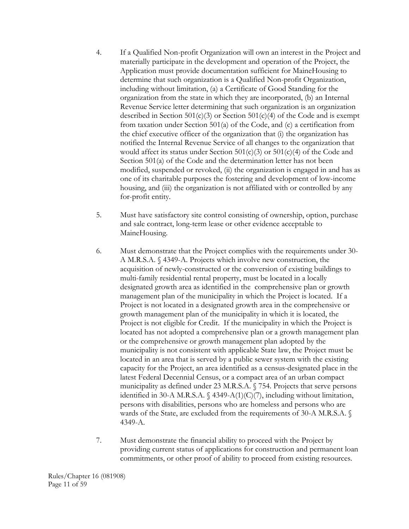- 4. If a Qualified Non-profit Organization will own an interest in the Project and materially participate in the development and operation of the Project, the Application must provide documentation sufficient for MaineHousing to determine that such organization is a Qualified Non-profit Organization, including without limitation, (a) a Certificate of Good Standing for the organization from the state in which they are incorporated, (b) an Internal Revenue Service letter determining that such organization is an organization described in Section  $501(c)(3)$  or Section  $501(c)(4)$  of the Code and is exempt from taxation under Section 501(a) of the Code, and (c) a certification from the chief executive officer of the organization that (i) the organization has notified the Internal Revenue Service of all changes to the organization that would affect its status under Section  $501(c)(3)$  or  $501(c)(4)$  of the Code and Section 501(a) of the Code and the determination letter has not been modified, suspended or revoked, (ii) the organization is engaged in and has as one of its charitable purposes the fostering and development of low-income housing, and (iii) the organization is not affiliated with or controlled by any for-profit entity.
- 5. Must have satisfactory site control consisting of ownership, option, purchase and sale contract, long-term lease or other evidence acceptable to MaineHousing.
- 6. Must demonstrate that the Project complies with the requirements under 30- A M.R.S.A. § 4349-A. Projects which involve new construction, the acquisition of newly-constructed or the conversion of existing buildings to multi-family residential rental property, must be located in a locally designated growth area as identified in the comprehensive plan or growth management plan of the municipality in which the Project is located. If a Project is not located in a designated growth area in the comprehensive or growth management plan of the municipality in which it is located, the Project is not eligible for Credit. If the municipality in which the Project is located has not adopted a comprehensive plan or a growth management plan or the comprehensive or growth management plan adopted by the municipality is not consistent with applicable State law, the Project must be located in an area that is served by a public sewer system with the existing capacity for the Project, an area identified as a census-designated place in the latest Federal Decennial Census, or a compact area of an urban compact municipality as defined under 23 M.R.S.A. § 754. Projects that serve persons identified in 30-A M.R.S.A. § 4349-A(1)(C)(7), including without limitation, persons with disabilities, persons who are homeless and persons who are wards of the State, are excluded from the requirements of 30-A M.R.S.A. § 4349-A.
- 7. Must demonstrate the financial ability to proceed with the Project by providing current status of applications for construction and permanent loan commitments, or other proof of ability to proceed from existing resources.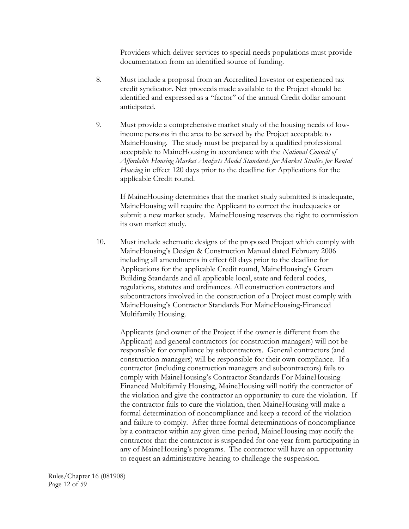Providers which deliver services to special needs populations must provide documentation from an identified source of funding.

- 8. Must include a proposal from an Accredited Investor or experienced tax credit syndicator. Net proceeds made available to the Project should be identified and expressed as a "factor" of the annual Credit dollar amount anticipated.
- 9. Must provide a comprehensive market study of the housing needs of lowincome persons in the area to be served by the Project acceptable to MaineHousing. The study must be prepared by a qualified professional acceptable to MaineHousing in accordance with the *National Council of Affordable Housing Market Analysts Model Standards for Market Studies for Rental Housing* in effect 120 days prior to the deadline for Applications for the applicable Credit round.

If MaineHousing determines that the market study submitted is inadequate, MaineHousing will require the Applicant to correct the inadequacies or submit a new market study. MaineHousing reserves the right to commission its own market study.

 10. Must include schematic designs of the proposed Project which comply with MaineHousing's Design & Construction Manual dated February 2006 including all amendments in effect 60 days prior to the deadline for Applications for the applicable Credit round, MaineHousing's Green Building Standards and all applicable local, state and federal codes, regulations, statutes and ordinances. All construction contractors and subcontractors involved in the construction of a Project must comply with MaineHousing's Contractor Standards For MaineHousing-Financed Multifamily Housing.

Applicants (and owner of the Project if the owner is different from the Applicant) and general contractors (or construction managers) will not be responsible for compliance by subcontractors. General contractors (and construction managers) will be responsible for their own compliance. If a contractor (including construction managers and subcontractors) fails to comply with MaineHousing's Contractor Standards For MaineHousing-Financed Multifamily Housing, MaineHousing will notify the contractor of the violation and give the contractor an opportunity to cure the violation. If the contractor fails to cure the violation, then MaineHousing will make a formal determination of noncompliance and keep a record of the violation and failure to comply. After three formal determinations of noncompliance by a contractor within any given time period, MaineHousing may notify the contractor that the contractor is suspended for one year from participating in any of MaineHousing's programs. The contractor will have an opportunity to request an administrative hearing to challenge the suspension.

Rules/Chapter 16 (081908) Page 12 of 59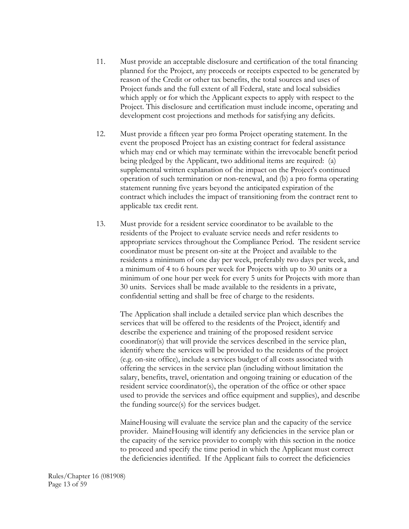- 11. Must provide an acceptable disclosure and certification of the total financing planned for the Project, any proceeds or receipts expected to be generated by reason of the Credit or other tax benefits, the total sources and uses of Project funds and the full extent of all Federal, state and local subsidies which apply or for which the Applicant expects to apply with respect to the Project. This disclosure and certification must include income, operating and development cost projections and methods for satisfying any deficits.
- 12. Must provide a fifteen year pro forma Project operating statement. In the event the proposed Project has an existing contract for federal assistance which may end or which may terminate within the irrevocable benefit period being pledged by the Applicant, two additional items are required: (a) supplemental written explanation of the impact on the Project's continued operation of such termination or non-renewal, and (b) a pro forma operating statement running five years beyond the anticipated expiration of the contract which includes the impact of transitioning from the contract rent to applicable tax credit rent.
- 13. Must provide for a resident service coordinator to be available to the residents of the Project to evaluate service needs and refer residents to appropriate services throughout the Compliance Period. The resident service coordinator must be present on-site at the Project and available to the residents a minimum of one day per week, preferably two days per week, and a minimum of 4 to 6 hours per week for Projects with up to 30 units or a minimum of one hour per week for every 5 units for Projects with more than 30 units. Services shall be made available to the residents in a private, confidential setting and shall be free of charge to the residents.

 The Application shall include a detailed service plan which describes the services that will be offered to the residents of the Project, identify and describe the experience and training of the proposed resident service coordinator(s) that will provide the services described in the service plan, identify where the services will be provided to the residents of the project (e.g. on-site office), include a services budget of all costs associated with offering the services in the service plan (including without limitation the salary, benefits, travel, orientation and ongoing training or education of the resident service coordinator(s), the operation of the office or other space used to provide the services and office equipment and supplies), and describe the funding source(s) for the services budget.

 MaineHousing will evaluate the service plan and the capacity of the service provider. MaineHousing will identify any deficiencies in the service plan or the capacity of the service provider to comply with this section in the notice to proceed and specify the time period in which the Applicant must correct the deficiencies identified. If the Applicant fails to correct the deficiencies

Rules/Chapter 16 (081908) Page 13 of 59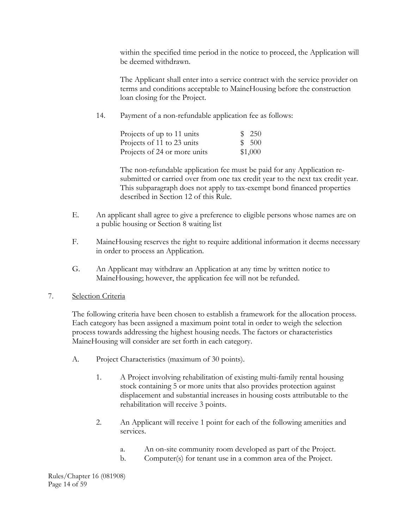within the specified time period in the notice to proceed, the Application will be deemed withdrawn.

 The Applicant shall enter into a service contract with the service provider on terms and conditions acceptable to MaineHousing before the construction loan closing for the Project.

14. Payment of a non-refundable application fee as follows:

| Projects of up to 11 units   | \$250   |
|------------------------------|---------|
| Projects of 11 to 23 units   | \$500   |
| Projects of 24 or more units | \$1,000 |

 The non-refundable application fee must be paid for any Application resubmitted or carried over from one tax credit year to the next tax credit year. This subparagraph does not apply to tax-exempt bond financed properties described in Section 12 of this Rule.

- E. An applicant shall agree to give a preference to eligible persons whose names are on a public housing or Section 8 waiting list
- F. MaineHousing reserves the right to require additional information it deems necessary in order to process an Application.
- G. An Applicant may withdraw an Application at any time by written notice to MaineHousing; however, the application fee will not be refunded.
- 7. Selection Criteria

 The following criteria have been chosen to establish a framework for the allocation process. Each category has been assigned a maximum point total in order to weigh the selection process towards addressing the highest housing needs. The factors or characteristics MaineHousing will consider are set forth in each category.

- A. Project Characteristics (maximum of 30 points).
	- 1. A Project involving rehabilitation of existing multi-family rental housing stock containing 5 or more units that also provides protection against displacement and substantial increases in housing costs attributable to the rehabilitation will receive 3 points.
	- 2. An Applicant will receive 1 point for each of the following amenities and services.
		- a. An on-site community room developed as part of the Project.
		- b. Computer(s) for tenant use in a common area of the Project.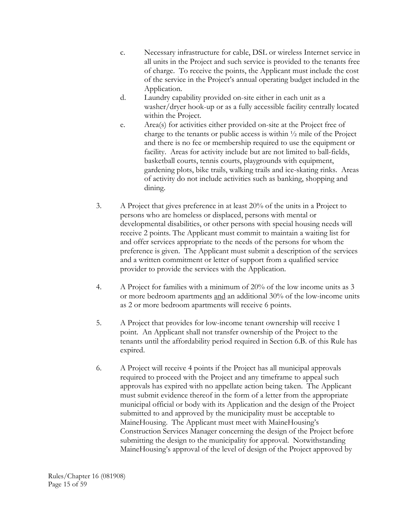- c. Necessary infrastructure for cable, DSL or wireless Internet service in all units in the Project and such service is provided to the tenants free of charge. To receive the points, the Applicant must include the cost of the service in the Project's annual operating budget included in the Application.
- d. Laundry capability provided on-site either in each unit as a washer/dryer hook-up or as a fully accessible facility centrally located within the Project.
- e. Area(s) for activities either provided on-site at the Project free of charge to the tenants or public access is within ½ mile of the Project and there is no fee or membership required to use the equipment or facility. Areas for activity include but are not limited to ball-fields, basketball courts, tennis courts, playgrounds with equipment, gardening plots, bike trails, walking trails and ice-skating rinks. Areas of activity do not include activities such as banking, shopping and dining.
- 3. A Project that gives preference in at least 20% of the units in a Project to persons who are homeless or displaced, persons with mental or developmental disabilities, or other persons with special housing needs will receive 2 points. The Applicant must commit to maintain a waiting list for and offer services appropriate to the needs of the persons for whom the preference is given. The Applicant must submit a description of the services and a written commitment or letter of support from a qualified service provider to provide the services with the Application.
- 4. A Project for families with a minimum of  $20\%$  of the low income units as 3 or more bedroom apartments and an additional 30% of the low-income units as 2 or more bedroom apartments will receive 6 points.
- 5. A Project that provides for low-income tenant ownership will receive 1 point. An Applicant shall not transfer ownership of the Project to the tenants until the affordability period required in Section 6.B. of this Rule has expired.
- 6. A Project will receive 4 points if the Project has all municipal approvals required to proceed with the Project and any timeframe to appeal such approvals has expired with no appellate action being taken. The Applicant must submit evidence thereof in the form of a letter from the appropriate municipal official or body with its Application and the design of the Project submitted to and approved by the municipality must be acceptable to MaineHousing. The Applicant must meet with MaineHousing's Construction Services Manager concerning the design of the Project before submitting the design to the municipality for approval. Notwithstanding MaineHousing's approval of the level of design of the Project approved by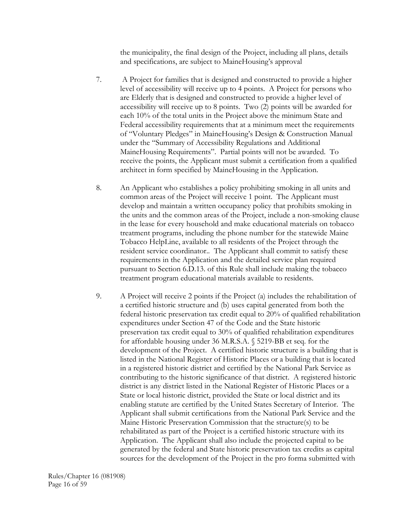the municipality, the final design of the Project, including all plans, details and specifications, are subject to MaineHousing's approval

- 7. A Project for families that is designed and constructed to provide a higher level of accessibility will receive up to 4 points. A Project for persons who are Elderly that is designed and constructed to provide a higher level of accessibility will receive up to 8 points. Two (2) points will be awarded for each 10% of the total units in the Project above the minimum State and Federal accessibility requirements that at a minimum meet the requirements of "Voluntary Pledges" in MaineHousing's Design & Construction Manual under the "Summary of Accessibility Regulations and Additional MaineHousing Requirements". Partial points will not be awarded. To receive the points, the Applicant must submit a certification from a qualified architect in form specified by MaineHousing in the Application.
- 8. An Applicant who establishes a policy prohibiting smoking in all units and common areas of the Project will receive 1 point. The Applicant must develop and maintain a written occupancy policy that prohibits smoking in the units and the common areas of the Project, include a non-smoking clause in the lease for every household and make educational materials on tobacco treatment programs, including the phone number for the statewide Maine Tobacco HelpLine, available to all residents of the Project through the resident service coordinator.. The Applicant shall commit to satisfy these requirements in the Application and the detailed service plan required pursuant to Section 6.D.13. of this Rule shall include making the tobacco treatment program educational materials available to residents.
- 9. A Project will receive 2 points if the Project (a) includes the rehabilitation of a certified historic structure and (b) uses capital generated from both the federal historic preservation tax credit equal to 20% of qualified rehabilitation expenditures under Section 47 of the Code and the State historic preservation tax credit equal to 30% of qualified rehabilitation expenditures for affordable housing under 36 M.R.S.A. § 5219-BB et seq. for the development of the Project. A certified historic structure is a building that is listed in the National Register of Historic Places or a building that is located in a registered historic district and certified by the National Park Service as contributing to the historic significance of that district. A registered historic district is any district listed in the National Register of Historic Places or a State or local historic district, provided the State or local district and its enabling statute are certified by the United States Secretary of Interior. The Applicant shall submit certifications from the National Park Service and the Maine Historic Preservation Commission that the structure(s) to be rehabilitated as part of the Project is a certified historic structure with its Application. The Applicant shall also include the projected capital to be generated by the federal and State historic preservation tax credits as capital sources for the development of the Project in the pro forma submitted with

Rules/Chapter 16 (081908) Page 16 of 59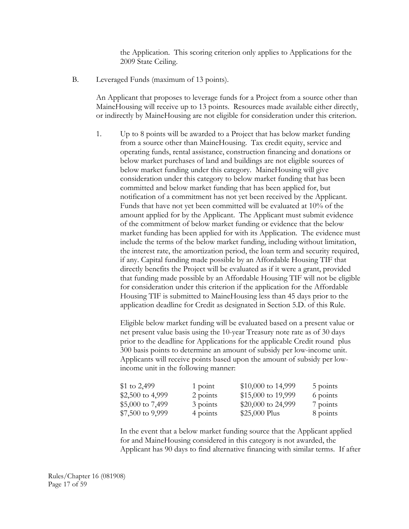the Application. This scoring criterion only applies to Applications for the 2009 State Ceiling.

B. Leveraged Funds (maximum of 13 points).

An Applicant that proposes to leverage funds for a Project from a source other than MaineHousing will receive up to 13 points. Resources made available either directly, or indirectly by MaineHousing are not eligible for consideration under this criterion.

1. Up to 8 points will be awarded to a Project that has below market funding from a source other than MaineHousing. Tax credit equity, service and operating funds, rental assistance, construction financing and donations or below market purchases of land and buildings are not eligible sources of below market funding under this category. MaineHousing will give consideration under this category to below market funding that has been committed and below market funding that has been applied for, but notification of a commitment has not yet been received by the Applicant. Funds that have not yet been committed will be evaluated at 10% of the amount applied for by the Applicant. The Applicant must submit evidence of the commitment of below market funding or evidence that the below market funding has been applied for with its Application. The evidence must include the terms of the below market funding, including without limitation, the interest rate, the amortization period, the loan term and security required, if any. Capital funding made possible by an Affordable Housing TIF that directly benefits the Project will be evaluated as if it were a grant, provided that funding made possible by an Affordable Housing TIF will not be eligible for consideration under this criterion if the application for the Affordable Housing TIF is submitted to MaineHousing less than 45 days prior to the application deadline for Credit as designated in Section 5.D. of this Rule.

Eligible below market funding will be evaluated based on a present value or net present value basis using the 10-year Treasury note rate as of 30 days prior to the deadline for Applications for the applicable Credit round plus 300 basis points to determine an amount of subsidy per low-income unit. Applicants will receive points based upon the amount of subsidy per lowincome unit in the following manner:

| \$1 to $2,499$     | $1$ point | $$10,000$ to 14,999 | 5 points |
|--------------------|-----------|---------------------|----------|
| \$2,500 to 4,999   | 2 points  | \$15,000 to 19,999  | 6 points |
| \$5,000 to $7,499$ | 3 points  | \$20,000 to 24,999  | 7 points |
| \$7,500 to 9,999   | 4 points  | $$25,000$ Plus      | 8 points |

In the event that a below market funding source that the Applicant applied for and MaineHousing considered in this category is not awarded, the Applicant has 90 days to find alternative financing with similar terms. If after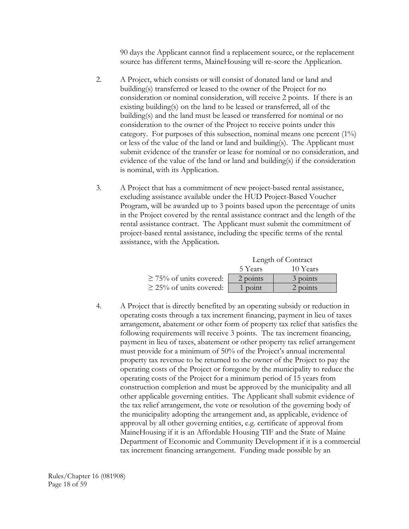90 days the Applicant cannot find a replacement source, or the replacement source has different terms, MaineHousing will re-score the Application.

- 2. A Project, which consists or will consist of donated land or land and building(s) transferred or leased to the owner of the Project for no consideration or nominal consideration, will receive 2 points. If there is an existing building(s) on the land to be leased or transferred, all of the building(s) and the land must be leased or transferred for nominal or no consideration to the owner of the Project to receive points under this category. For purposes of this subsection, nominal means one percent (1%) or less of the value of the land or land and building(s). The Applicant must submit evidence of the transfer or lease for nominal or no consideration, and evidence of the value of the land or land and building(s) if the consideration is nominal, with its Application.
- 3. A Project that has a commitment of new project-based rental assistance, excluding assistance available under the HUD Project-Based Voucher Program, will be awarded up to 3 points based upon the percentage of units in the Project covered by the rental assistance contract and the length of the rental assistance contract. The Applicant must submit the commitment of project-based rental assistance, including the specific terms of the rental assistance, with the Application.

|                              | Length of Contract |          |  |
|------------------------------|--------------------|----------|--|
|                              | 5 Years            | 10 Years |  |
| $\geq$ 75% of units covered: | 2 points           | 3 points |  |
| $\geq$ 25% of units covered: | 1 point            | 2 points |  |

4. A Project that is directly benefited by an operating subsidy or reduction in operating costs through a tax increment financing, payment in lieu of taxes arrangement, abatement or other form of property tax relief that satisfies the following requirements will receive 3 points. The tax increment financing, payment in lieu of taxes, abatement or other property tax relief arrangement must provide for a minimum of 50% of the Project's annual incremental property tax revenue to be returned to the owner of the Project to pay the operating costs of the Project or foregone by the municipality to reduce the operating costs of the Project for a minimum period of 15 years from construction completion and must be approved by the municipality and all other applicable governing entities. The Applicant shall submit evidence of the tax relief arrangement, the vote or resolution of the governing body of the municipality adopting the arrangement and, as applicable, evidence of approval by all other governing entities, e.g. certificate of approval from MaineHousing if it is an Affordable Housing TIF and the State of Maine Department of Economic and Community Development if it is a commercial tax increment financing arrangement. Funding made possible by an

Rules/Chapter 16 (081908) Page 18 of 59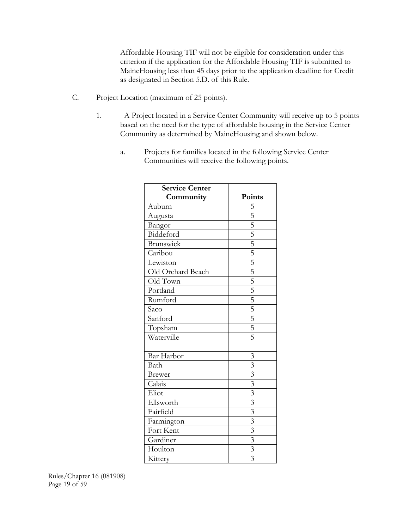Affordable Housing TIF will not be eligible for consideration under this criterion if the application for the Affordable Housing TIF is submitted to MaineHousing less than 45 days prior to the application deadline for Credit as designated in Section 5.D. of this Rule.

- C. Project Location (maximum of 25 points).
	- 1. A Project located in a Service Center Community will receive up to 5 points based on the need for the type of affordable housing in the Service Center Community as determined by MaineHousing and shown below.
		- a. Projects for families located in the following Service Center Communities will receive the following points.

| <b>Service Center</b> |                                                                                                                                             |
|-----------------------|---------------------------------------------------------------------------------------------------------------------------------------------|
| Community             | Points                                                                                                                                      |
| Auburn                | 5                                                                                                                                           |
| Augusta               | $\frac{5}{5}$ $\frac{5}{5}$ $\frac{5}{5}$ $\frac{5}{5}$ $\frac{5}{5}$ $\frac{5}{5}$ $\frac{5}{5}$ $\frac{5}{5}$ $\frac{5}{5}$ $\frac{5}{5}$ |
| Bangor                |                                                                                                                                             |
| Biddeford             |                                                                                                                                             |
| Brunswick             |                                                                                                                                             |
| Caribou               |                                                                                                                                             |
| Lewiston              |                                                                                                                                             |
| Old Orchard Beach     |                                                                                                                                             |
| Old Town              |                                                                                                                                             |
| Portland              |                                                                                                                                             |
| Rumford               |                                                                                                                                             |
| Saco                  |                                                                                                                                             |
| Sanford               |                                                                                                                                             |
| Topsham               |                                                                                                                                             |
| Waterville            |                                                                                                                                             |
|                       |                                                                                                                                             |
| Bar Harbor            | $\mathfrak{Z}$                                                                                                                              |
| Bath                  | $\overline{3}$                                                                                                                              |
| <b>Brewer</b>         | $\overline{3}$                                                                                                                              |
| Calais                | $\overline{\overline{3}}$                                                                                                                   |
| Eliot                 | $\overline{3}$                                                                                                                              |
| Ellsworth             | $\overline{3}$                                                                                                                              |
| Fairfield             | $\overline{3}$                                                                                                                              |
| Farmington            | $\overline{\overline{3}}$                                                                                                                   |
| Fort Kent             | $\frac{3}{3}$                                                                                                                               |
| Gardiner              |                                                                                                                                             |
| Houlton               |                                                                                                                                             |
| Kittery               | $\overline{3}$                                                                                                                              |

Rules/Chapter 16 (081908) Page 19 of 59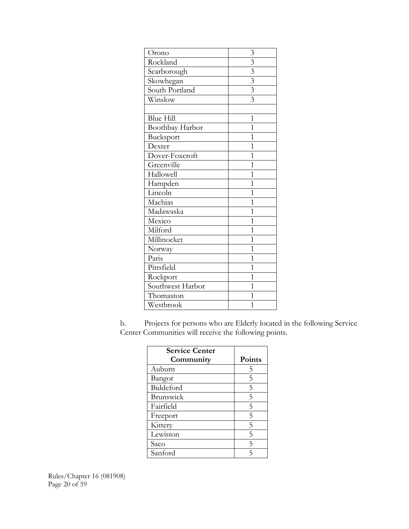| Orono            | 3                         |
|------------------|---------------------------|
| Rockland         | $\overline{\mathbf{3}}$   |
| Scarborough      | $\overline{\mathbf{3}}$   |
| Skowhegan        | $\overline{\mathfrak{z}}$ |
| South Portland   | $\overline{\mathbf{3}}$   |
| Winslow          | $\overline{\overline{3}}$ |
|                  |                           |
| <b>Blue Hill</b> | $\mathbf 1$               |
| Boothbay Harbor  | $\overline{1}$            |
| Bucksport        | $\overline{1}$            |
| Dexter           | $\overline{1}$            |
| Dover-Foxcroft   | $\overline{1}$            |
| Greenville       | $\mathbf{1}$              |
| Hallowell        | $\mathbf{1}$              |
| Hampden          | $\overline{1}$            |
| Lincoln          | $\mathbf{1}$              |
| Machias          | $\mathbf{1}$              |
| Madawaska        | $\overline{1}$            |
| Mexico           | $\overline{1}$            |
| Milford          | $\mathbf{1}$              |
| Millinocket      | $\overline{1}$            |
| Norway           | $\overline{1}$            |
| Paris            | $\mathbf{1}$              |
| Pittsfield       | $\overline{1}$            |
| Rockport         | $\overline{1}$            |
| Southwest Harbor | $\overline{1}$            |
| Thomaston        | $\overline{1}$            |
| Westbrook        | $\overline{1}$            |

b. Projects for persons who are Elderly located in the following Service Center Communities will receive the following points.

| <b>Service Center</b> |        |
|-----------------------|--------|
| Community             | Points |
| Auburn                | 5      |
| Bangor                | 5      |
| Biddeford             | 5      |
| Brunswick             | 5      |
| Fairfield             | 5      |
| Freeport              | 5      |
| Kittery               | 5      |
| Lewiston              | 5      |
| Saco                  | 5      |
| Sanford               | 5      |

Rules/Chapter 16 (081908) Page 20 of 59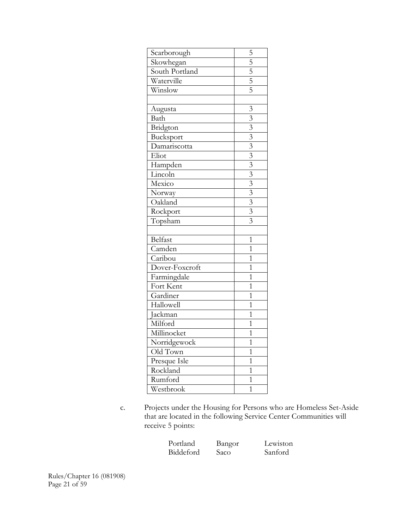| Scarborough    | $\frac{5}{5}$ $\frac{5}{5}$ $\frac{5}{5}$                                                                       |
|----------------|-----------------------------------------------------------------------------------------------------------------|
| Skowhegan      |                                                                                                                 |
| South Portland |                                                                                                                 |
| Waterville     |                                                                                                                 |
| Winslow        |                                                                                                                 |
|                |                                                                                                                 |
| Augusta        | $\overline{3}$                                                                                                  |
| Bath           |                                                                                                                 |
| Bridgton       |                                                                                                                 |
| Bucksport      |                                                                                                                 |
| Damariscotta   |                                                                                                                 |
| Eliot          |                                                                                                                 |
| Hampden        |                                                                                                                 |
| Lincoln        |                                                                                                                 |
| Mexico         |                                                                                                                 |
| Norway         |                                                                                                                 |
| Oakland        | $\frac{3}{3}$ $\frac{3}{3}$ $\frac{3}{3}$ $\frac{3}{3}$ $\frac{3}{3}$ $\frac{3}{3}$ $\frac{3}{3}$ $\frac{3}{3}$ |
| Rockport       |                                                                                                                 |
| Topsham        |                                                                                                                 |
|                |                                                                                                                 |
| Belfast        | $\overline{1}$                                                                                                  |
| Camden         | $\overline{1}$                                                                                                  |
| Caribou        | $\overline{1}$                                                                                                  |
| Dover-Foxcroft | $\overline{1}$                                                                                                  |
| Farmingdale    | $\overline{1}$                                                                                                  |
| Fort Kent      | $\overline{1}$                                                                                                  |
| Gardiner       | $\overline{1}$                                                                                                  |
| Hallowell      | $\overline{1}$                                                                                                  |
| Jackman        | $\overline{1}$                                                                                                  |
| Milford        | $\overline{1}$                                                                                                  |
| Millinocket    | $\overline{1}$                                                                                                  |
| Norridgewock   | $\overline{1}$                                                                                                  |
| Old Town       | $\overline{1}$                                                                                                  |
| Presque Isle   | $\overline{1}$                                                                                                  |
| Rockland       | $\overline{1}$                                                                                                  |
| Rumford        | $\overline{1}$                                                                                                  |
| Westbrook      | $\overline{1}$                                                                                                  |

c. Projects under the Housing for Persons who are Homeless Set-Aside that are located in the following Service Center Communities will receive 5 points:

| Portland  |  |
|-----------|--|
| Biddeford |  |

Bangor Lewiston Saco Sanford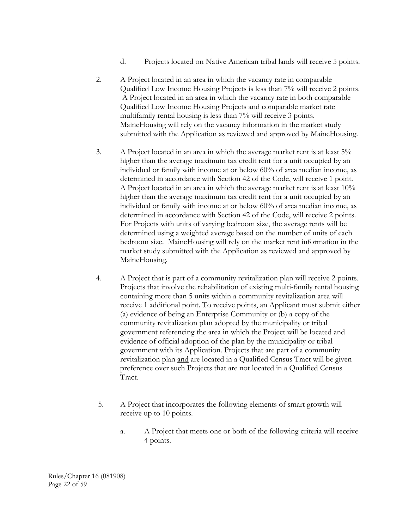- d. Projects located on Native American tribal lands will receive 5 points.
- 2. A Project located in an area in which the vacancy rate in comparable Qualified Low Income Housing Projects is less than 7% will receive 2 points. A Project located in an area in which the vacancy rate in both comparable Qualified Low Income Housing Projects and comparable market rate multifamily rental housing is less than 7% will receive 3 points. MaineHousing will rely on the vacancy information in the market study submitted with the Application as reviewed and approved by MaineHousing.
- 3. A Project located in an area in which the average market rent is at least 5% higher than the average maximum tax credit rent for a unit occupied by an individual or family with income at or below 60% of area median income, as determined in accordance with Section 42 of the Code, will receive 1 point. A Project located in an area in which the average market rent is at least 10% higher than the average maximum tax credit rent for a unit occupied by an individual or family with income at or below 60% of area median income, as determined in accordance with Section 42 of the Code, will receive 2 points. For Projects with units of varying bedroom size, the average rents will be determined using a weighted average based on the number of units of each bedroom size. MaineHousing will rely on the market rent information in the market study submitted with the Application as reviewed and approved by MaineHousing.
- 4. A Project that is part of a community revitalization plan will receive 2 points. Projects that involve the rehabilitation of existing multi-family rental housing containing more than 5 units within a community revitalization area will receive 1 additional point. To receive points, an Applicant must submit either (a) evidence of being an Enterprise Community or (b) a copy of the community revitalization plan adopted by the municipality or tribal government referencing the area in which the Project will be located and evidence of official adoption of the plan by the municipality or tribal government with its Application. Projects that are part of a community revitalization plan and are located in a Qualified Census Tract will be given preference over such Projects that are not located in a Qualified Census Tract.
- 5. A Project that incorporates the following elements of smart growth will receive up to 10 points.
	- a. A Project that meets one or both of the following criteria will receive 4 points.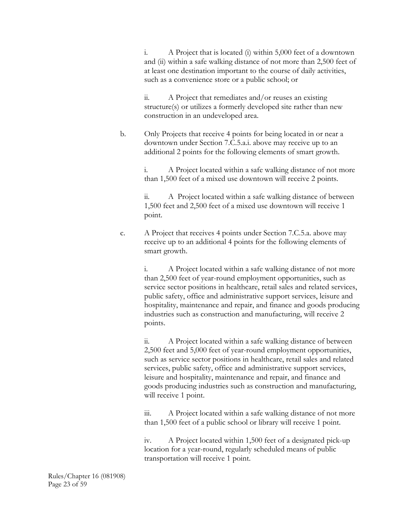i. A Project that is located (i) within 5,000 feet of a downtown and (ii) within a safe walking distance of not more than 2,500 feet of at least one destination important to the course of daily activities, such as a convenience store or a public school; or

 ii. A Project that remediates and/or reuses an existing structure(s) or utilizes a formerly developed site rather than new construction in an undeveloped area.

b. Only Projects that receive 4 points for being located in or near a downtown under Section 7.C.5.a.i. above may receive up to an additional 2 points for the following elements of smart growth.

> i. A Project located within a safe walking distance of not more than 1,500 feet of a mixed use downtown will receive 2 points.

> ii. A Project located within a safe walking distance of between 1,500 feet and 2,500 feet of a mixed use downtown will receive 1 point.

 c. A Project that receives 4 points under Section 7.C.5.a. above may receive up to an additional 4 points for the following elements of smart growth.

> i. A Project located within a safe walking distance of not more than 2,500 feet of year-round employment opportunities, such as service sector positions in healthcare, retail sales and related services, public safety, office and administrative support services, leisure and hospitality, maintenance and repair, and finance and goods producing industries such as construction and manufacturing, will receive 2 points.

ii. A Project located within a safe walking distance of between 2,500 feet and 5,000 feet of year-round employment opportunities, such as service sector positions in healthcare, retail sales and related services, public safety, office and administrative support services, leisure and hospitality, maintenance and repair, and finance and goods producing industries such as construction and manufacturing, will receive 1 point.

iii. A Project located within a safe walking distance of not more than 1,500 feet of a public school or library will receive 1 point.

iv. A Project located within 1,500 feet of a designated pick-up location for a year-round, regularly scheduled means of public transportation will receive 1 point.

Rules/Chapter 16 (081908) Page 23 of 59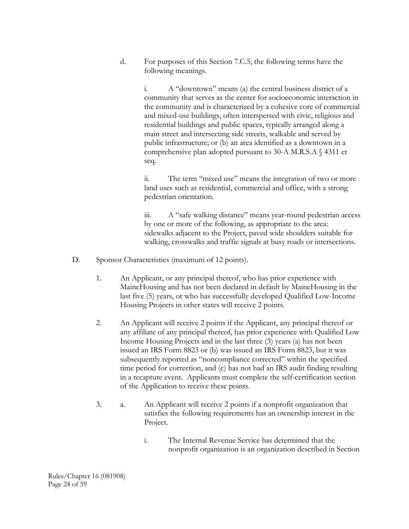d. For purposes of this Section 7.C.5, the following terms have the following meanings.

> i. A "downtown" means (a) the central business district of a community that serves as the center for socioeconomic interaction in the community and is characterized by a cohesive core of commercial and mixed-use buildings, often interspersed with civic, religious and residential buildings and public spaces, typically arranged along a main street and intersecting side streets, walkable and served by public infrastructure; or (b) an area identified as a downtown in a comprehensive plan adopted pursuant to 30-A M.R.S.A § 4311 et seq.

ii. The term "mixed use" means the integration of two or more land uses such as residential, commercial and office, with a strong pedestrian orientation.

 iii. A "safe walking distance" means year-round pedestrian access by one or more of the following, as appropriate to the area: sidewalks adjacent to the Project, paved wide shoulders suitable for walking, crosswalks and traffic signals at busy roads or intersections.

- D. Sponsor Characteristics (maximum of 12 points).
	- 1. An Applicant, or any principal thereof, who has prior experience with MaineHousing and has not been declared in default by MaineHousing in the last five (5) years, or who has successfully developed Qualified Low-Income Housing Projects in other states will receive 2 points.
	- 2. An Applicant will receive 2 points if the Applicant, any principal thereof or any affiliate of any principal thereof, has prior experience with Qualified Low Income Housing Projects and in the last three (3) years (a) has not been issued an IRS Form 8823 or (b) was issued an IRS Form 8823, but it was subsequently reported as "noncompliance corrected" within the specified time period for correction, and (c) has not had an IRS audit finding resulting in a recapture event. Applicants must complete the self-certification section of the Application to receive these points.
	- 3. a. An Applicant will receive 2 points if a nonprofit organization that satisfies the following requirements has an ownership interest in the Project.
		- i. The Internal Revenue Service has determined that the nonprofit organization is an organization described in Section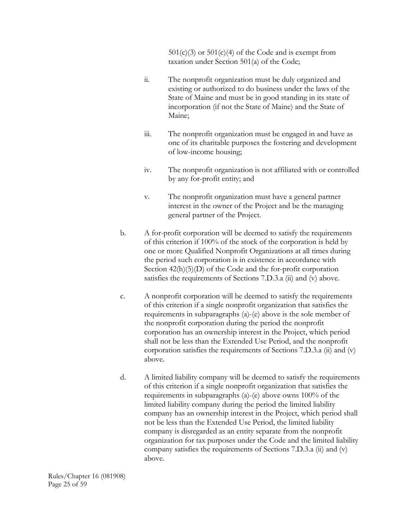$501(c)(3)$  or  $501(c)(4)$  of the Code and is exempt from taxation under Section 501(a) of the Code;

- ii. The nonprofit organization must be duly organized and existing or authorized to do business under the laws of the State of Maine and must be in good standing in its state of incorporation (if not the State of Maine) and the State of Maine;
- iii. The nonprofit organization must be engaged in and have as one of its charitable purposes the fostering and development of low-income housing;
- iv. The nonprofit organization is not affiliated with or controlled by any for-profit entity; and
- v. The nonprofit organization must have a general partner interest in the owner of the Project and be the managing general partner of the Project.
- b. A for-profit corporation will be deemed to satisfy the requirements of this criterion if 100% of the stock of the corporation is held by one or more Qualified Nonprofit Organizations at all times during the period such corporation is in existence in accordance with Section  $42(h)(5)(D)$  of the Code and the for-profit corporation satisfies the requirements of Sections 7.D.3.a (ii) and (v) above.
- c. A nonprofit corporation will be deemed to satisfy the requirements of this criterion if a single nonprofit organization that satisfies the requirements in subparagraphs (a)-(e) above is the sole member of the nonprofit corporation during the period the nonprofit corporation has an ownership interest in the Project, which period shall not be less than the Extended Use Period, and the nonprofit corporation satisfies the requirements of Sections 7.D.3.a (ii) and (v) above.
- d. A limited liability company will be deemed to satisfy the requirements of this criterion if a single nonprofit organization that satisfies the requirements in subparagraphs (a)-(e) above owns 100% of the limited liability company during the period the limited liability company has an ownership interest in the Project, which period shall not be less than the Extended Use Period, the limited liability company is disregarded as an entity separate from the nonprofit organization for tax purposes under the Code and the limited liability company satisfies the requirements of Sections 7.D.3.a (ii) and (v) above.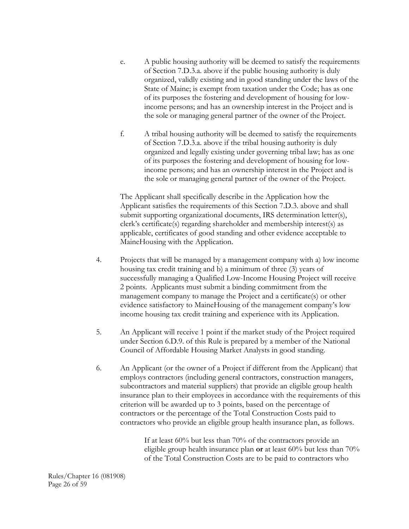- e. A public housing authority will be deemed to satisfy the requirements of Section 7.D.3.a. above if the public housing authority is duly organized, validly existing and in good standing under the laws of the State of Maine; is exempt from taxation under the Code; has as one of its purposes the fostering and development of housing for lowincome persons; and has an ownership interest in the Project and is the sole or managing general partner of the owner of the Project.
- f. A tribal housing authority will be deemed to satisfy the requirements of Section 7.D.3.a. above if the tribal housing authority is duly organized and legally existing under governing tribal law; has as one of its purposes the fostering and development of housing for lowincome persons; and has an ownership interest in the Project and is the sole or managing general partner of the owner of the Project.

The Applicant shall specifically describe in the Application how the Applicant satisfies the requirements of this Section 7.D.3. above and shall submit supporting organizational documents, IRS determination letter(s), clerk's certificate(s) regarding shareholder and membership interest(s) as applicable, certificates of good standing and other evidence acceptable to MaineHousing with the Application.

- 4. Projects that will be managed by a management company with a) low income housing tax credit training and b) a minimum of three (3) years of successfully managing a Qualified Low-Income Housing Project will receive 2 points. Applicants must submit a binding commitment from the management company to manage the Project and a certificate(s) or other evidence satisfactory to MaineHousing of the management company's low income housing tax credit training and experience with its Application.
- 5. An Applicant will receive 1 point if the market study of the Project required under Section 6.D.9. of this Rule is prepared by a member of the National Council of Affordable Housing Market Analysts in good standing.
- 6. An Applicant (or the owner of a Project if different from the Applicant) that employs contractors (including general contractors, construction managers, subcontractors and material suppliers) that provide an eligible group health insurance plan to their employees in accordance with the requirements of this criterion will be awarded up to 3 points, based on the percentage of contractors or the percentage of the Total Construction Costs paid to contractors who provide an eligible group health insurance plan, as follows.

If at least 60% but less than 70% of the contractors provide an eligible group health insurance plan **or** at least 60% but less than 70% of the Total Construction Costs are to be paid to contractors who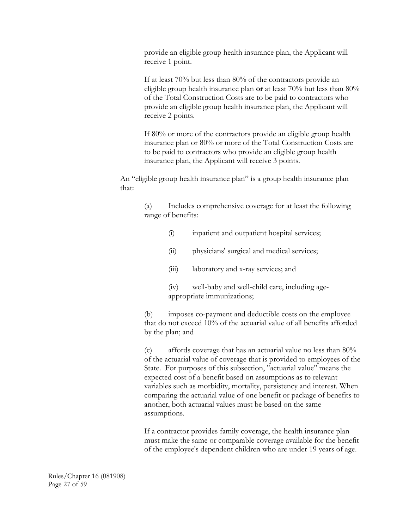provide an eligible group health insurance plan, the Applicant will receive 1 point.

If at least 70% but less than 80% of the contractors provide an eligible group health insurance plan **or** at least 70% but less than 80% of the Total Construction Costs are to be paid to contractors who provide an eligible group health insurance plan, the Applicant will receive 2 points.

If 80% or more of the contractors provide an eligible group health insurance plan or 80% or more of the Total Construction Costs are to be paid to contractors who provide an eligible group health insurance plan, the Applicant will receive 3 points.

An "eligible group health insurance plan" is a group health insurance plan that:

> (a) Includes comprehensive coverage for at least the following range of benefits:

- (i) inpatient and outpatient hospital services;
- (ii) physicians' surgical and medical services;
- (iii) laboratory and x-ray services; and

(iv) well-baby and well-child care, including ageappropriate immunizations;

(b) imposes co-payment and deductible costs on the employee that do not exceed 10% of the actuarial value of all benefits afforded by the plan; and

(c) affords coverage that has an actuarial value no less than 80% of the actuarial value of coverage that is provided to employees of the State. For purposes of this subsection, "actuarial value" means the expected cost of a benefit based on assumptions as to relevant variables such as morbidity, mortality, persistency and interest. When comparing the actuarial value of one benefit or package of benefits to another, both actuarial values must be based on the same assumptions.

If a contractor provides family coverage, the health insurance plan must make the same or comparable coverage available for the benefit of the employee's dependent children who are under 19 years of age.

Rules/Chapter 16 (081908) Page 27 of 59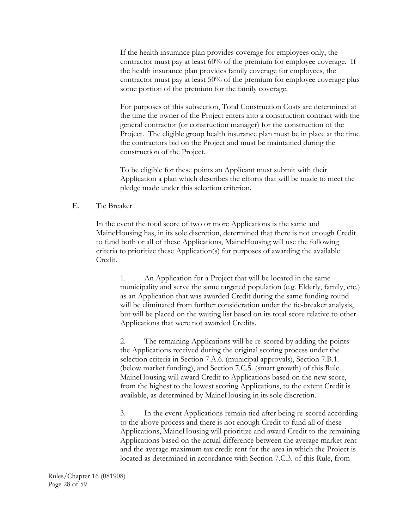If the health insurance plan provides coverage for employees only, the contractor must pay at least 60% of the premium for employee coverage. If the health insurance plan provides family coverage for employees, the contractor must pay at least 50% of the premium for employee coverage plus some portion of the premium for the family coverage.

For purposes of this subsection, Total Construction Costs are determined at the time the owner of the Project enters into a construction contract with the general contractor (or construction manager) for the construction of the Project. The eligible group health insurance plan must be in place at the time the contractors bid on the Project and must be maintained during the construction of the Project.

To be eligible for these points an Applicant must submit with their Application a plan which describes the efforts that will be made to meet the pledge made under this selection criterion.

#### E. Tie Breaker

 In the event the total score of two or more Applications is the same and MaineHousing has, in its sole discretion, determined that there is not enough Credit to fund both or all of these Applications, MaineHousing will use the following criteria to prioritize these Application(s) for purposes of awarding the available Credit.

 1. An Application for a Project that will be located in the same municipality and serve the same targeted population (e.g. Elderly, family, etc.) as an Application that was awarded Credit during the same funding round will be eliminated from further consideration under the tie-breaker analysis, but will be placed on the waiting list based on its total score relative to other Applications that were not awarded Credits.

2. The remaining Applications will be re-scored by adding the points the Applications received during the original scoring process under the selection criteria in Section 7.A.6. (municipal approvals), Section 7.B.1. (below market funding), and Section 7.C.5. (smart growth) of this Rule. MaineHousing will award Credit to Applications based on the new score, from the highest to the lowest scoring Applications, to the extent Credit is available, as determined by MaineHousing in its sole discretion.

3. In the event Applications remain tied after being re-scored according to the above process and there is not enough Credit to fund all of these Applications, MaineHousing will prioritize and award Credit to the remaining Applications based on the actual difference between the average market rent and the average maximum tax credit rent for the area in which the Project is located as determined in accordance with Section 7.C.3. of this Rule, from

Rules/Chapter 16 (081908) Page 28 of 59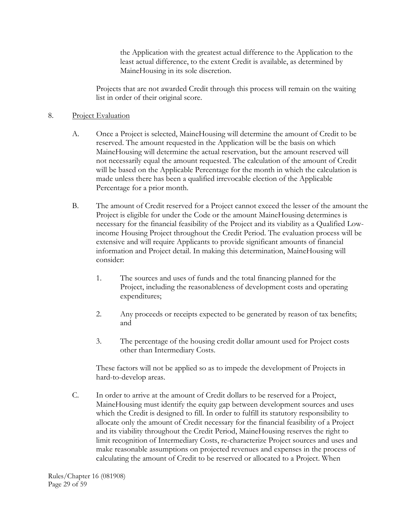the Application with the greatest actual difference to the Application to the least actual difference, to the extent Credit is available, as determined by MaineHousing in its sole discretion.

Projects that are not awarded Credit through this process will remain on the waiting list in order of their original score.

### 8. Project Evaluation

- A. Once a Project is selected, MaineHousing will determine the amount of Credit to be reserved. The amount requested in the Application will be the basis on which MaineHousing will determine the actual reservation, but the amount reserved will not necessarily equal the amount requested. The calculation of the amount of Credit will be based on the Applicable Percentage for the month in which the calculation is made unless there has been a qualified irrevocable election of the Applicable Percentage for a prior month.
- B. The amount of Credit reserved for a Project cannot exceed the lesser of the amount the Project is eligible for under the Code or the amount MaineHousing determines is necessary for the financial feasibility of the Project and its viability as a Qualified Lowincome Housing Project throughout the Credit Period. The evaluation process will be extensive and will require Applicants to provide significant amounts of financial information and Project detail. In making this determination, MaineHousing will consider:
	- 1. The sources and uses of funds and the total financing planned for the Project, including the reasonableness of development costs and operating expenditures;
	- 2. Any proceeds or receipts expected to be generated by reason of tax benefits; and
	- 3. The percentage of the housing credit dollar amount used for Project costs other than Intermediary Costs.

 These factors will not be applied so as to impede the development of Projects in hard-to-develop areas.

 C. In order to arrive at the amount of Credit dollars to be reserved for a Project, MaineHousing must identify the equity gap between development sources and uses which the Credit is designed to fill. In order to fulfill its statutory responsibility to allocate only the amount of Credit necessary for the financial feasibility of a Project and its viability throughout the Credit Period, MaineHousing reserves the right to limit recognition of Intermediary Costs, re-characterize Project sources and uses and make reasonable assumptions on projected revenues and expenses in the process of calculating the amount of Credit to be reserved or allocated to a Project. When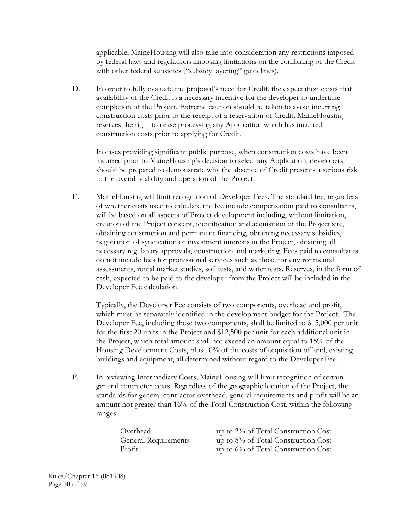applicable, MaineHousing will also take into consideration any restrictions imposed by federal laws and regulations imposing limitations on the combining of the Credit with other federal subsidies ("subsidy layering" guidelines).

 D. In order to fully evaluate the proposal's need for Credit, the expectation exists that availability of the Credit is a necessary incentive for the developer to undertake completion of the Project. Extreme caution should be taken to avoid incurring construction costs prior to the receipt of a reservation of Credit. MaineHousing reserves the right to cease processing any Application which has incurred construction costs prior to applying for Credit.

 In cases providing significant public purpose, when construction costs have been incurred prior to MaineHousing's decision to select any Application, developers should be prepared to demonstrate why the absence of Credit presents a serious risk to the overall viability and operation of the Project.

 E. MaineHousing will limit recognition of Developer Fees. The standard fee, regardless of whether costs used to calculate the fee include compensation paid to consultants, will be based on all aspects of Project development including, without limitation, creation of the Project concept, identification and acquisition of the Project site, obtaining construction and permanent financing, obtaining necessary subsidies, negotiation of syndication of investment interests in the Project, obtaining all necessary regulatory approvals, construction and marketing. Fees paid to consultants do not include fees for professional services such as those for environmental assessments, rental market studies, soil tests, and water tests. Reserves, in the form of cash, expected to be paid to the developer from the Project will be included in the Developer Fee calculation.

 Typically, the Developer Fee consists of two components, overhead and profit, which must be separately identified in the development budget for the Project. The Developer Fee, including these two components, shall be limited to \$15,000 per unit for the first 20 units in the Project and \$12,500 per unit for each additional unit in the Project, which total amount shall not exceed an amount equal to 15% of the Housing Development Costs, plus 10% of the costs of acquisition of land, existing buildings and equipment, all determined without regard to the Developer Fee.

 F. In reviewing Intermediary Costs, MaineHousing will limit recognition of certain general contractor costs. Regardless of the geographic location of the Project, the standards for general contractor overhead, general requirements and profit will be an amount not greater than 16% of the Total Construction Cost, within the following ranges:

 Overhead up to 2% of Total Construction Cost General Requirements up to 8% of Total Construction Cost Profit up to 6% of Total Construction Cost

Rules/Chapter 16 (081908) Page 30 of 59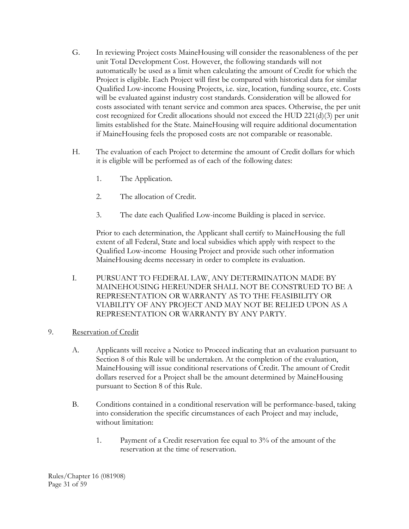- G. In reviewing Project costs MaineHousing will consider the reasonableness of the per unit Total Development Cost. However, the following standards will not automatically be used as a limit when calculating the amount of Credit for which the Project is eligible. Each Project will first be compared with historical data for similar Qualified Low-income Housing Projects, i.e. size, location, funding source, etc. Costs will be evaluated against industry cost standards. Consideration will be allowed for costs associated with tenant service and common area spaces. Otherwise, the per unit cost recognized for Credit allocations should not exceed the HUD 221(d)(3) per unit limits established for the State. MaineHousing will require additional documentation if MaineHousing feels the proposed costs are not comparable or reasonable.
- H. The evaluation of each Project to determine the amount of Credit dollars for which it is eligible will be performed as of each of the following dates:
	- 1. The Application.
	- 2. The allocation of Credit.
	- 3. The date each Qualified Low-income Building is placed in service.

 Prior to each determination, the Applicant shall certify to MaineHousing the full extent of all Federal, State and local subsidies which apply with respect to the Qualified Low-income Housing Project and provide such other information MaineHousing deems necessary in order to complete its evaluation.

 I. PURSUANT TO FEDERAL LAW, ANY DETERMINATION MADE BY MAINEHOUSING HEREUNDER SHALL NOT BE CONSTRUED TO BE A REPRESENTATION OR WARRANTY AS TO THE FEASIBILITY OR VIABILITY OF ANY PROJECT AND MAY NOT BE RELIED UPON AS A REPRESENTATION OR WARRANTY BY ANY PARTY.

# 9. Reservation of Credit

- A. Applicants will receive a Notice to Proceed indicating that an evaluation pursuant to Section 8 of this Rule will be undertaken. At the completion of the evaluation, MaineHousing will issue conditional reservations of Credit. The amount of Credit dollars reserved for a Project shall be the amount determined by MaineHousing pursuant to Section 8 of this Rule.
- B. Conditions contained in a conditional reservation will be performance-based, taking into consideration the specific circumstances of each Project and may include, without limitation:
	- 1. Payment of a Credit reservation fee equal to 3% of the amount of the reservation at the time of reservation.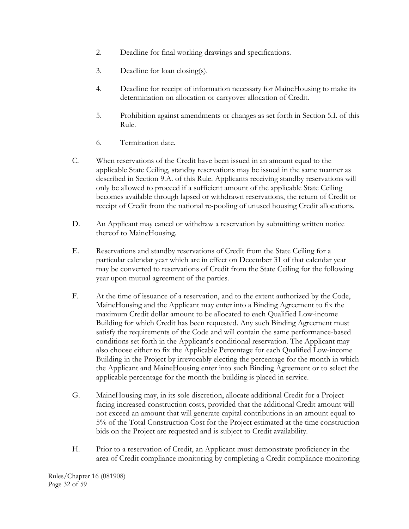- 2. Deadline for final working drawings and specifications.
- 3. Deadline for loan closing(s).
- 4. Deadline for receipt of information necessary for MaineHousing to make its determination on allocation or carryover allocation of Credit.
- 5. Prohibition against amendments or changes as set forth in Section 5.I. of this Rule.
- 6. Termination date.
- C. When reservations of the Credit have been issued in an amount equal to the applicable State Ceiling, standby reservations may be issued in the same manner as described in Section 9.A. of this Rule. Applicants receiving standby reservations will only be allowed to proceed if a sufficient amount of the applicable State Ceiling becomes available through lapsed or withdrawn reservations, the return of Credit or receipt of Credit from the national re-pooling of unused housing Credit allocations.
- D. An Applicant may cancel or withdraw a reservation by submitting written notice thereof to MaineHousing.
- E. Reservations and standby reservations of Credit from the State Ceiling for a particular calendar year which are in effect on December 31 of that calendar year may be converted to reservations of Credit from the State Ceiling for the following year upon mutual agreement of the parties.
- F. At the time of issuance of a reservation, and to the extent authorized by the Code, MaineHousing and the Applicant may enter into a Binding Agreement to fix the maximum Credit dollar amount to be allocated to each Qualified Low-income Building for which Credit has been requested. Any such Binding Agreement must satisfy the requirements of the Code and will contain the same performance-based conditions set forth in the Applicant's conditional reservation. The Applicant may also choose either to fix the Applicable Percentage for each Qualified Low-income Building in the Project by irrevocably electing the percentage for the month in which the Applicant and MaineHousing enter into such Binding Agreement or to select the applicable percentage for the month the building is placed in service.
- G. MaineHousing may, in its sole discretion, allocate additional Credit for a Project facing increased construction costs, provided that the additional Credit amount will not exceed an amount that will generate capital contributions in an amount equal to 5% of the Total Construction Cost for the Project estimated at the time construction bids on the Project are requested and is subject to Credit availability.
- H. Prior to a reservation of Credit, an Applicant must demonstrate proficiency in the area of Credit compliance monitoring by completing a Credit compliance monitoring

Rules/Chapter 16 (081908) Page 32 of 59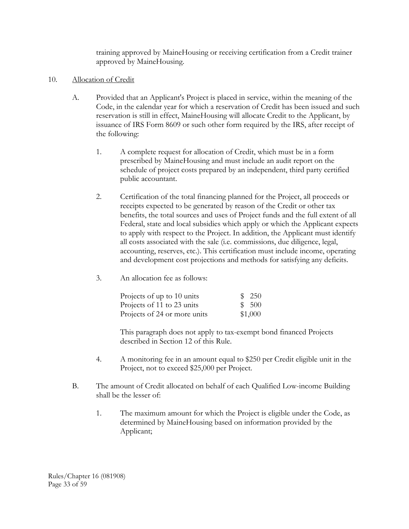training approved by MaineHousing or receiving certification from a Credit trainer approved by MaineHousing.

- 10. Allocation of Credit
	- A. Provided that an Applicant's Project is placed in service, within the meaning of the Code, in the calendar year for which a reservation of Credit has been issued and such reservation is still in effect, MaineHousing will allocate Credit to the Applicant, by issuance of IRS Form 8609 or such other form required by the IRS, after receipt of the following:
		- 1. A complete request for allocation of Credit, which must be in a form prescribed by MaineHousing and must include an audit report on the schedule of project costs prepared by an independent, third party certified public accountant.
		- 2. Certification of the total financing planned for the Project, all proceeds or receipts expected to be generated by reason of the Credit or other tax benefits, the total sources and uses of Project funds and the full extent of all Federal, state and local subsidies which apply or which the Applicant expects to apply with respect to the Project. In addition, the Applicant must identify all costs associated with the sale (i.e. commissions, due diligence, legal, accounting, reserves, etc.). This certification must include income, operating and development cost projections and methods for satisfying any deficits.
		- 3. An allocation fee as follows:

| Projects of up to 10 units   | \$250   |  |
|------------------------------|---------|--|
| Projects of 11 to 23 units   | \$ 500  |  |
| Projects of 24 or more units | \$1,000 |  |

 This paragraph does not apply to tax-exempt bond financed Projects described in Section 12 of this Rule.

- 4. A monitoring fee in an amount equal to \$250 per Credit eligible unit in the Project, not to exceed \$25,000 per Project.
- B. The amount of Credit allocated on behalf of each Qualified Low-income Building shall be the lesser of:
	- 1. The maximum amount for which the Project is eligible under the Code, as determined by MaineHousing based on information provided by the Applicant;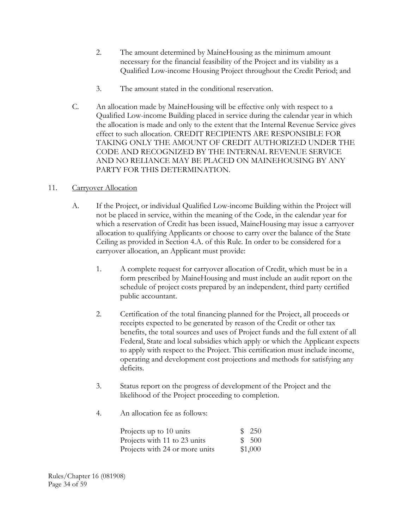- 2. The amount determined by MaineHousing as the minimum amount necessary for the financial feasibility of the Project and its viability as a Qualified Low-income Housing Project throughout the Credit Period; and
- 3. The amount stated in the conditional reservation.
- C. An allocation made by MaineHousing will be effective only with respect to a Qualified Low-income Building placed in service during the calendar year in which the allocation is made and only to the extent that the Internal Revenue Service gives effect to such allocation. CREDIT RECIPIENTS ARE RESPONSIBLE FOR TAKING ONLY THE AMOUNT OF CREDIT AUTHORIZED UNDER THE CODE AND RECOGNIZED BY THE INTERNAL REVENUE SERVICE AND NO RELIANCE MAY BE PLACED ON MAINEHOUSING BY ANY PARTY FOR THIS DETERMINATION.

# 11. Carryover Allocation

- A. If the Project, or individual Qualified Low-income Building within the Project will not be placed in service, within the meaning of the Code, in the calendar year for which a reservation of Credit has been issued, MaineHousing may issue a carryover allocation to qualifying Applicants or choose to carry over the balance of the State Ceiling as provided in Section 4.A. of this Rule. In order to be considered for a carryover allocation, an Applicant must provide:
	- 1. A complete request for carryover allocation of Credit, which must be in a form prescribed by MaineHousing and must include an audit report on the schedule of project costs prepared by an independent, third party certified public accountant.
	- 2. Certification of the total financing planned for the Project, all proceeds or receipts expected to be generated by reason of the Credit or other tax benefits, the total sources and uses of Project funds and the full extent of all Federal, State and local subsidies which apply or which the Applicant expects to apply with respect to the Project. This certification must include income, operating and development cost projections and methods for satisfying any deficits.
	- 3. Status report on the progress of development of the Project and the likelihood of the Project proceeding to completion.
	- 4. An allocation fee as follows:

| Projects up to 10 units        | \$ 250  |
|--------------------------------|---------|
| Projects with 11 to 23 units   | \$500   |
| Projects with 24 or more units | \$1,000 |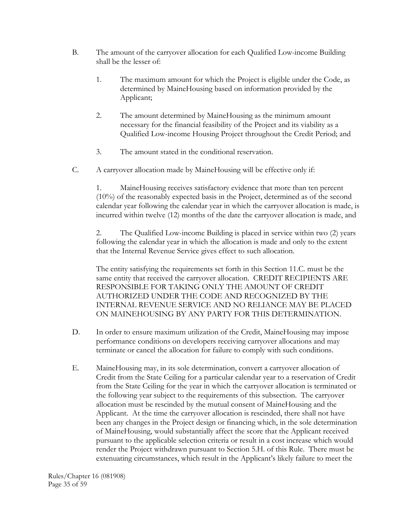- B. The amount of the carryover allocation for each Qualified Low-income Building shall be the lesser of:
	- 1. The maximum amount for which the Project is eligible under the Code, as determined by MaineHousing based on information provided by the Applicant;
	- 2. The amount determined by MaineHousing as the minimum amount necessary for the financial feasibility of the Project and its viability as a Qualified Low-income Housing Project throughout the Credit Period; and
	- 3. The amount stated in the conditional reservation.
- C. A carryover allocation made by MaineHousing will be effective only if:

 1. MaineHousing receives satisfactory evidence that more than ten percent (10%) of the reasonably expected basis in the Project, determined as of the second calendar year following the calendar year in which the carryover allocation is made, is incurred within twelve (12) months of the date the carryover allocation is made, and

 2. The Qualified Low-income Building is placed in service within two (2) years following the calendar year in which the allocation is made and only to the extent that the Internal Revenue Service gives effect to such allocation.

 The entity satisfying the requirements set forth in this Section 11.C. must be the same entity that received the carryover allocation. CREDIT RECIPIENTS ARE RESPONSIBLE FOR TAKING ONLY THE AMOUNT OF CREDIT AUTHORIZED UNDER THE CODE AND RECOGNIZED BY THE INTERNAL REVENUE SERVICE AND NO RELIANCE MAY BE PLACED ON MAINEHOUSING BY ANY PARTY FOR THIS DETERMINATION.

- D. In order to ensure maximum utilization of the Credit, MaineHousing may impose performance conditions on developers receiving carryover allocations and may terminate or cancel the allocation for failure to comply with such conditions.
- E. MaineHousing may, in its sole determination, convert a carryover allocation of Credit from the State Ceiling for a particular calendar year to a reservation of Credit from the State Ceiling for the year in which the carryover allocation is terminated or the following year subject to the requirements of this subsection. The carryover allocation must be rescinded by the mutual consent of MaineHousing and the Applicant. At the time the carryover allocation is rescinded, there shall not have been any changes in the Project design or financing which, in the sole determination of MaineHousing, would substantially affect the score that the Applicant received pursuant to the applicable selection criteria or result in a cost increase which would render the Project withdrawn pursuant to Section 5.H. of this Rule. There must be extenuating circumstances, which result in the Applicant's likely failure to meet the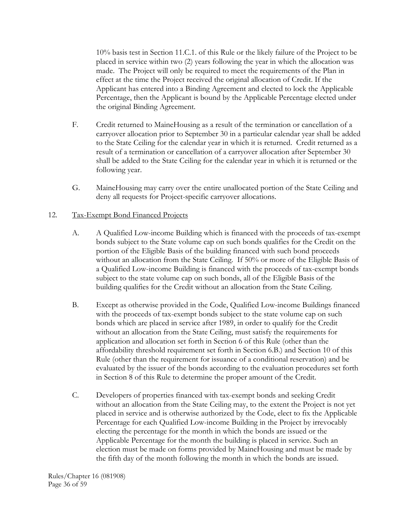10% basis test in Section 11.C.1. of this Rule or the likely failure of the Project to be placed in service within two (2) years following the year in which the allocation was made. The Project will only be required to meet the requirements of the Plan in effect at the time the Project received the original allocation of Credit. If the Applicant has entered into a Binding Agreement and elected to lock the Applicable Percentage, then the Applicant is bound by the Applicable Percentage elected under the original Binding Agreement.

- F. Credit returned to MaineHousing as a result of the termination or cancellation of a carryover allocation prior to September 30 in a particular calendar year shall be added to the State Ceiling for the calendar year in which it is returned. Credit returned as a result of a termination or cancellation of a carryover allocation after September 30 shall be added to the State Ceiling for the calendar year in which it is returned or the following year.
- G. MaineHousing may carry over the entire unallocated portion of the State Ceiling and deny all requests for Project-specific carryover allocations.

### 12. Tax-Exempt Bond Financed Projects

- A. A Qualified Low-income Building which is financed with the proceeds of tax-exempt bonds subject to the State volume cap on such bonds qualifies for the Credit on the portion of the Eligible Basis of the building financed with such bond proceeds without an allocation from the State Ceiling. If 50% or more of the Eligible Basis of a Qualified Low-income Building is financed with the proceeds of tax-exempt bonds subject to the state volume cap on such bonds, all of the Eligible Basis of the building qualifies for the Credit without an allocation from the State Ceiling.
- B. Except as otherwise provided in the Code, Qualified Low-income Buildings financed with the proceeds of tax-exempt bonds subject to the state volume cap on such bonds which are placed in service after 1989, in order to qualify for the Credit without an allocation from the State Ceiling, must satisfy the requirements for application and allocation set forth in Section 6 of this Rule (other than the affordability threshold requirement set forth in Section 6.B.) and Section 10 of this Rule (other than the requirement for issuance of a conditional reservation) and be evaluated by the issuer of the bonds according to the evaluation procedures set forth in Section 8 of this Rule to determine the proper amount of the Credit.
- C. Developers of properties financed with tax-exempt bonds and seeking Credit without an allocation from the State Ceiling may, to the extent the Project is not yet placed in service and is otherwise authorized by the Code, elect to fix the Applicable Percentage for each Qualified Low-income Building in the Project by irrevocably electing the percentage for the month in which the bonds are issued or the Applicable Percentage for the month the building is placed in service. Such an election must be made on forms provided by MaineHousing and must be made by the fifth day of the month following the month in which the bonds are issued.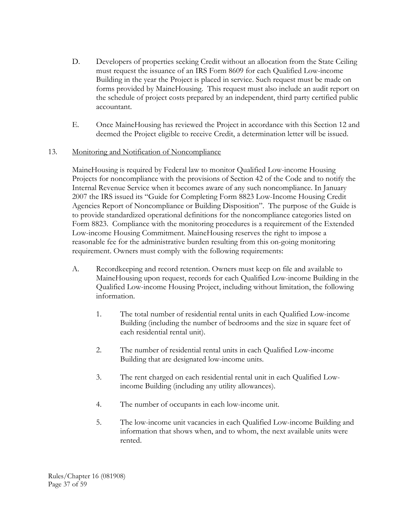- D. Developers of properties seeking Credit without an allocation from the State Ceiling must request the issuance of an IRS Form 8609 for each Qualified Low-income Building in the year the Project is placed in service. Such request must be made on forms provided by MaineHousing. This request must also include an audit report on the schedule of project costs prepared by an independent, third party certified public accountant.
- E. Once MaineHousing has reviewed the Project in accordance with this Section 12 and deemed the Project eligible to receive Credit, a determination letter will be issued.

### 13. Monitoring and Notification of Noncompliance

 MaineHousing is required by Federal law to monitor Qualified Low-income Housing Projects for noncompliance with the provisions of Section 42 of the Code and to notify the Internal Revenue Service when it becomes aware of any such noncompliance. In January 2007 the IRS issued its "Guide for Completing Form 8823 Low-Income Housing Credit Agencies Report of Noncompliance or Building Disposition". The purpose of the Guide is to provide standardized operational definitions for the noncompliance categories listed on Form 8823. Compliance with the monitoring procedures is a requirement of the Extended Low-income Housing Commitment. MaineHousing reserves the right to impose a reasonable fee for the administrative burden resulting from this on-going monitoring requirement. Owners must comply with the following requirements:

- A. Recordkeeping and record retention. Owners must keep on file and available to MaineHousing upon request, records for each Qualified Low-income Building in the Qualified Low-income Housing Project, including without limitation, the following information.
	- 1. The total number of residential rental units in each Qualified Low-income Building (including the number of bedrooms and the size in square feet of each residential rental unit).
	- 2. The number of residential rental units in each Qualified Low-income Building that are designated low-income units.
	- 3. The rent charged on each residential rental unit in each Qualified Lowincome Building (including any utility allowances).
	- 4. The number of occupants in each low-income unit.
	- 5. The low-income unit vacancies in each Qualified Low-income Building and information that shows when, and to whom, the next available units were rented.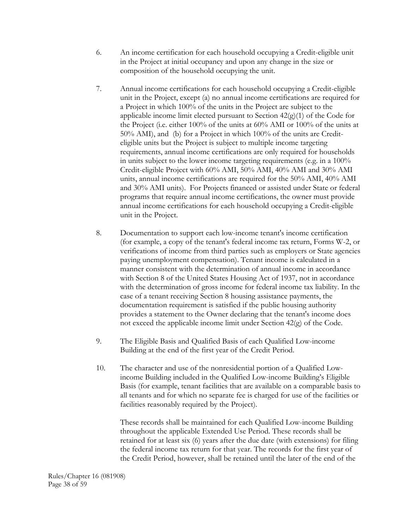- 6. An income certification for each household occupying a Credit-eligible unit in the Project at initial occupancy and upon any change in the size or composition of the household occupying the unit.
- 7. Annual income certifications for each household occupying a Credit-eligible unit in the Project, except (a) no annual income certifications are required for a Project in which 100% of the units in the Project are subject to the applicable income limit elected pursuant to Section  $42(g)(1)$  of the Code for the Project (i.e. either 100% of the units at 60% AMI or 100% of the units at 50% AMI), and (b) for a Project in which 100% of the units are Crediteligible units but the Project is subject to multiple income targeting requirements, annual income certifications are only required for households in units subject to the lower income targeting requirements (e.g. in a 100% Credit-eligible Project with 60% AMI, 50% AMI, 40% AMI and 30% AMI units, annual income certifications are required for the 50% AMI, 40% AMI and 30% AMI units). For Projects financed or assisted under State or federal programs that require annual income certifications, the owner must provide annual income certifications for each household occupying a Credit-eligible unit in the Project.
- 8. Documentation to support each low-income tenant's income certification (for example, a copy of the tenant's federal income tax return, Forms W-2, or verifications of income from third parties such as employers or State agencies paying unemployment compensation). Tenant income is calculated in a manner consistent with the determination of annual income in accordance with Section 8 of the United States Housing Act of 1937, not in accordance with the determination of gross income for federal income tax liability. In the case of a tenant receiving Section 8 housing assistance payments, the documentation requirement is satisfied if the public housing authority provides a statement to the Owner declaring that the tenant's income does not exceed the applicable income limit under Section 42(g) of the Code.
- 9. The Eligible Basis and Qualified Basis of each Qualified Low-income Building at the end of the first year of the Credit Period.
- 10. The character and use of the nonresidential portion of a Qualified Lowincome Building included in the Qualified Low-income Building's Eligible Basis (for example, tenant facilities that are available on a comparable basis to all tenants and for which no separate fee is charged for use of the facilities or facilities reasonably required by the Project).

 These records shall be maintained for each Qualified Low-income Building throughout the applicable Extended Use Period. These records shall be retained for at least six (6) years after the due date (with extensions) for filing the federal income tax return for that year. The records for the first year of the Credit Period, however, shall be retained until the later of the end of the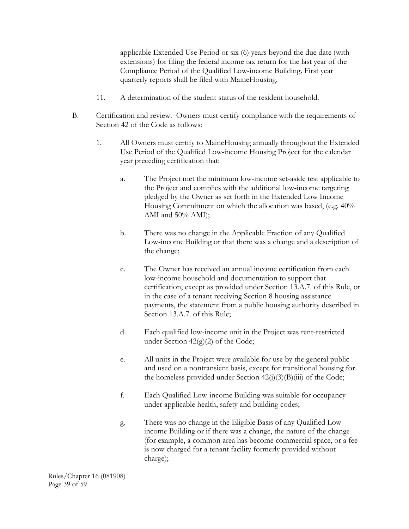applicable Extended Use Period or six (6) years beyond the due date (with extensions) for filing the federal income tax return for the last year of the Compliance Period of the Qualified Low-income Building. First year quarterly reports shall be filed with MaineHousing.

- 11. A determination of the student status of the resident household.
- B. Certification and review. Owners must certify compliance with the requirements of Section 42 of the Code as follows:
	- 1. All Owners must certify to MaineHousing annually throughout the Extended Use Period of the Qualified Low-income Housing Project for the calendar year preceding certification that:
		- a. The Project met the minimum low-income set-aside test applicable to the Project and complies with the additional low-income targeting pledged by the Owner as set forth in the Extended Low Income Housing Commitment on which the allocation was based, (e.g. 40% AMI and 50% AMI);
		- b. There was no change in the Applicable Fraction of any Qualified Low-income Building or that there was a change and a description of the change;
		- c. The Owner has received an annual income certification from each low-income household and documentation to support that certification, except as provided under Section 13.A.7. of this Rule, or in the case of a tenant receiving Section 8 housing assistance payments, the statement from a public housing authority described in Section 13.A.7. of this Rule;
		- d. Each qualified low-income unit in the Project was rent-restricted under Section  $42(g)(2)$  of the Code;
		- e. All units in the Project were available for use by the general public and used on a nontransient basis, except for transitional housing for the homeless provided under Section  $42(i)(3)(B(iii))$  of the Code;
		- f. Each Qualified Low-income Building was suitable for occupancy under applicable health, safety and building codes;
		- g. There was no change in the Eligible Basis of any Qualified Lowincome Building or if there was a change, the nature of the change (for example, a common area has become commercial space, or a fee is now charged for a tenant facility formerly provided without charge);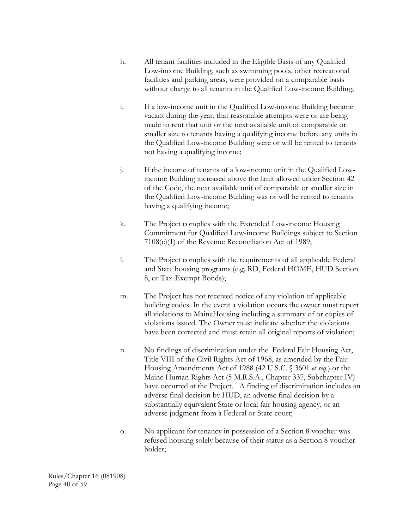- h. All tenant facilities included in the Eligible Basis of any Qualified Low-income Building, such as swimming pools, other recreational facilities and parking areas, were provided on a comparable basis without charge to all tenants in the Qualified Low-income Building;
- i. If a low-income unit in the Qualified Low-income Building became vacant during the year, that reasonable attempts were or are being made to rent that unit or the next available unit of comparable or smaller size to tenants having a qualifying income before any units in the Qualified Low-income Building were or will be rented to tenants not having a qualifying income;
- j. If the income of tenants of a low-income unit in the Qualified Lowincome Building increased above the limit allowed under Section 42 of the Code, the next available unit of comparable or smaller size in the Qualified Low-income Building was or will be rented to tenants having a qualifying income;
- k. The Project complies with the Extended Low-income Housing Commitment for Qualified Low-income Buildings subject to Section 7108(c)(1) of the Revenue Reconciliation Act of 1989;
- l. The Project complies with the requirements of all applicable Federal and State housing programs (e.g. RD, Federal HOME, HUD Section 8, or Tax-Exempt Bonds);
- m. The Project has not received notice of any violation of applicable building codes. In the event a violation occurs the owner must report all violations to MaineHousing including a summary of or copies of violations issued. The Owner must indicate whether the violations have been corrected and must retain all original reports of violation;
- n. No findings of discrimination under the Federal Fair Housing Act, Title VIII of the Civil Rights Act of 1968, as amended by the Fair Housing Amendments Act of 1988 (42 U.S.C. § 3601 *et seq.*) or the Maine Human Rights Act (5 M.R.S.A., Chapter 337, Subchapter IV) have occurred at the Project. A finding of discrimination includes an adverse final decision by HUD, an adverse final decision by a substantially equivalent State or local fair housing agency, or an adverse judgment from a Federal or State court;
- o. No applicant for tenancy in possession of a Section 8 voucher was refused housing solely because of their status as a Section 8 voucherholder;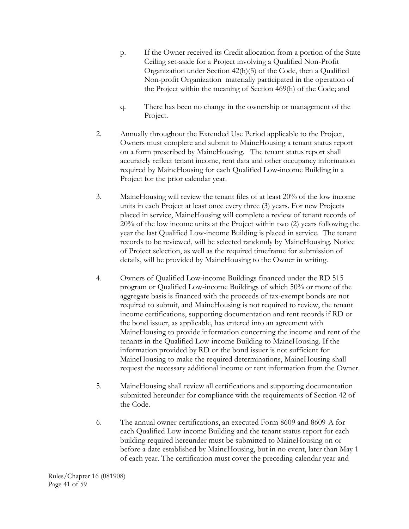- p. If the Owner received its Credit allocation from a portion of the State Ceiling set-aside for a Project involving a Qualified Non-Profit Organization under Section 42(h)(5) of the Code, then a Qualified Non-profit Organization materially participated in the operation of the Project within the meaning of Section 469(h) of the Code; and
- q. There has been no change in the ownership or management of the Project.
- 2. Annually throughout the Extended Use Period applicable to the Project, Owners must complete and submit to MaineHousing a tenant status report on a form prescribed by MaineHousing. The tenant status report shall accurately reflect tenant income, rent data and other occupancy information required by MaineHousing for each Qualified Low-income Building in a Project for the prior calendar year.
- 3. MaineHousing will review the tenant files of at least 20% of the low income units in each Project at least once every three (3) years. For new Projects placed in service, MaineHousing will complete a review of tenant records of 20% of the low income units at the Project within two (2) years following the year the last Qualified Low-income Building is placed in service. The tenant records to be reviewed, will be selected randomly by MaineHousing. Notice of Project selection, as well as the required timeframe for submission of details, will be provided by MaineHousing to the Owner in writing.
- 4. Owners of Qualified Low-income Buildings financed under the RD 515 program or Qualified Low-income Buildings of which 50% or more of the aggregate basis is financed with the proceeds of tax-exempt bonds are not required to submit, and MaineHousing is not required to review, the tenant income certifications, supporting documentation and rent records if RD or the bond issuer, as applicable, has entered into an agreement with MaineHousing to provide information concerning the income and rent of the tenants in the Qualified Low-income Building to MaineHousing. If the information provided by RD or the bond issuer is not sufficient for MaineHousing to make the required determinations, MaineHousing shall request the necessary additional income or rent information from the Owner.
- 5. MaineHousing shall review all certifications and supporting documentation submitted hereunder for compliance with the requirements of Section 42 of the Code.
- 6. The annual owner certifications, an executed Form 8609 and 8609-A for each Qualified Low-income Building and the tenant status report for each building required hereunder must be submitted to MaineHousing on or before a date established by MaineHousing, but in no event, later than May 1 of each year. The certification must cover the preceding calendar year and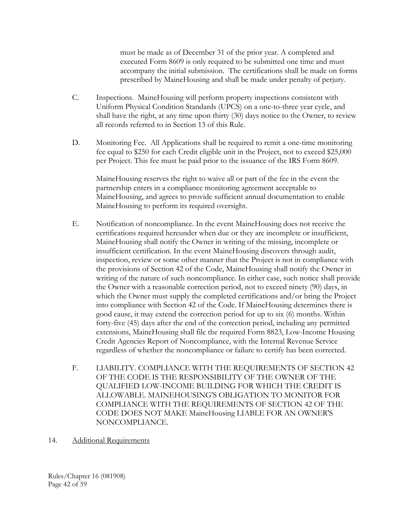must be made as of December 31 of the prior year. A completed and executed Form 8609 is only required to be submitted one time and must accompany the initial submission. The certifications shall be made on forms prescribed by MaineHousing and shall be made under penalty of perjury.

- C. Inspections. MaineHousing will perform property inspections consistent with Uniform Physical Condition Standards (UPCS) on a one-to-three year cycle, and shall have the right, at any time upon thirty (30) days notice to the Owner, to review all records referred to in Section 13 of this Rule.
- D. Monitoring Fee. All Applications shall be required to remit a one-time monitoring fee equal to \$250 for each Credit eligible unit in the Project, not to exceed \$25,000 per Project. This fee must be paid prior to the issuance of the IRS Form 8609.

MaineHousing reserves the right to waive all or part of the fee in the event the partnership enters in a compliance monitoring agreement acceptable to MaineHousing, and agrees to provide sufficient annual documentation to enable MaineHousing to perform its required oversight.

- E. Notification of noncompliance. In the event MaineHousing does not receive the certifications required hereunder when due or they are incomplete or insufficient, MaineHousing shall notify the Owner in writing of the missing, incomplete or insufficient certification. In the event MaineHousing discovers through audit, inspection, review or some other manner that the Project is not in compliance with the provisions of Section 42 of the Code, MaineHousing shall notify the Owner in writing of the nature of such noncompliance. In either case, such notice shall provide the Owner with a reasonable correction period, not to exceed ninety (90) days, in which the Owner must supply the completed certifications and/or bring the Project into compliance with Section 42 of the Code. If MaineHousing determines there is good cause, it may extend the correction period for up to six (6) months. Within forty-five (45) days after the end of the correction period, including any permitted extensions, MaineHousing shall file the required Form 8823, Low-Income Housing Credit Agencies Report of Noncompliance, with the Internal Revenue Service regardless of whether the noncompliance or failure to certify has been corrected.
- F. LIABILITY. COMPLIANCE WITH THE REQUIREMENTS OF SECTION 42 OF THE CODE IS THE RESPONSIBILITY OF THE OWNER OF THE QUALIFIED LOW-INCOME BUILDING FOR WHICH THE CREDIT IS ALLOWABLE. MAINEHOUSING'S OBLIGATION TO MONITOR FOR COMPLIANCE WITH THE REQUIREMENTS OF SECTION 42 OF THE CODE DOES NOT MAKE MaineHousing LIABLE FOR AN OWNER'S NONCOMPLIANCE.
- 14. Additional Requirements

Rules/Chapter 16 (081908) Page 42 of 59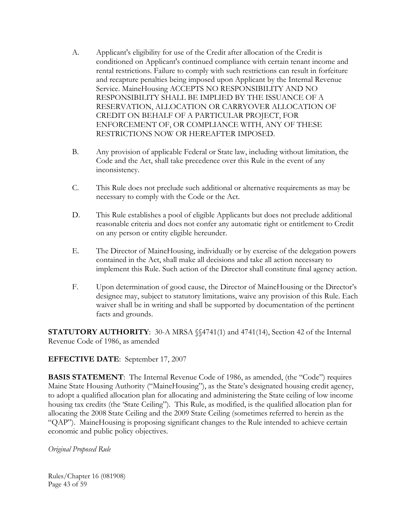- A. Applicant's eligibility for use of the Credit after allocation of the Credit is conditioned on Applicant's continued compliance with certain tenant income and rental restrictions. Failure to comply with such restrictions can result in forfeiture and recapture penalties being imposed upon Applicant by the Internal Revenue Service. MaineHousing ACCEPTS NO RESPONSIBILITY AND NO RESPONSIBILITY SHALL BE IMPLIED BY THE ISSUANCE OF A RESERVATION, ALLOCATION OR CARRYOVER ALLOCATION OF CREDIT ON BEHALF OF A PARTICULAR PROJECT, FOR ENFORCEMENT OF, OR COMPLIANCE WITH, ANY OF THESE RESTRICTIONS NOW OR HEREAFTER IMPOSED.
- B. Any provision of applicable Federal or State law, including without limitation, the Code and the Act, shall take precedence over this Rule in the event of any inconsistency.
- C. This Rule does not preclude such additional or alternative requirements as may be necessary to comply with the Code or the Act.
- D. This Rule establishes a pool of eligible Applicants but does not preclude additional reasonable criteria and does not confer any automatic right or entitlement to Credit on any person or entity eligible hereunder.
- E. The Director of MaineHousing, individually or by exercise of the delegation powers contained in the Act, shall make all decisions and take all action necessary to implement this Rule. Such action of the Director shall constitute final agency action.
- F. Upon determination of good cause, the Director of MaineHousing or the Director's designee may, subject to statutory limitations, waive any provision of this Rule. Each waiver shall be in writing and shall be supported by documentation of the pertinent facts and grounds.

**STATUTORY AUTHORITY:** 30-A MRSA  $\{\$4741(1)$  and 4741(14), Section 42 of the Internal Revenue Code of 1986, as amended

### **EFFECTIVE DATE**: September 17, 2007

**BASIS STATEMENT**: The Internal Revenue Code of 1986, as amended, (the "Code") requires Maine State Housing Authority ("MaineHousing"), as the State's designated housing credit agency, to adopt a qualified allocation plan for allocating and administering the State ceiling of low income housing tax credits (the 'State Ceiling"). This Rule, as modified, is the qualified allocation plan for allocating the 2008 State Ceiling and the 2009 State Ceiling (sometimes referred to herein as the "QAP"). MaineHousing is proposing significant changes to the Rule intended to achieve certain economic and public policy objectives.

### *Original Proposed Rule*

Rules/Chapter 16 (081908) Page 43 of 59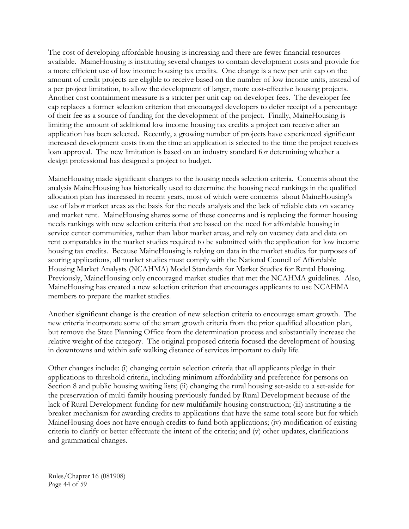The cost of developing affordable housing is increasing and there are fewer financial resources available. MaineHousing is instituting several changes to contain development costs and provide for a more efficient use of low income housing tax credits. One change is a new per unit cap on the amount of credit projects are eligible to receive based on the number of low income units, instead of a per project limitation, to allow the development of larger, more cost-effective housing projects. Another cost containment measure is a stricter per unit cap on developer fees. The developer fee cap replaces a former selection criterion that encouraged developers to defer receipt of a percentage of their fee as a source of funding for the development of the project. Finally, MaineHousing is limiting the amount of additional low income housing tax credits a project can receive after an application has been selected. Recently, a growing number of projects have experienced significant increased development costs from the time an application is selected to the time the project receives loan approval. The new limitation is based on an industry standard for determining whether a design professional has designed a project to budget.

MaineHousing made significant changes to the housing needs selection criteria. Concerns about the analysis MaineHousing has historically used to determine the housing need rankings in the qualified allocation plan has increased in recent years, most of which were concerns about MaineHousing's use of labor market areas as the basis for the needs analysis and the lack of reliable data on vacancy and market rent. MaineHousing shares some of these concerns and is replacing the former housing needs rankings with new selection criteria that are based on the need for affordable housing in service center communities, rather than labor market areas, and rely on vacancy data and data on rent comparables in the market studies required to be submitted with the application for low income housing tax credits. Because MaineHousing is relying on data in the market studies for purposes of scoring applications, all market studies must comply with the National Council of Affordable Housing Market Analysts (NCAHMA) Model Standards for Market Studies for Rental Housing. Previously, MaineHousing only encouraged market studies that met the NCAHMA guidelines. Also, MaineHousing has created a new selection criterion that encourages applicants to use NCAHMA members to prepare the market studies.

Another significant change is the creation of new selection criteria to encourage smart growth. The new criteria incorporate some of the smart growth criteria from the prior qualified allocation plan, but remove the State Planning Office from the determination process and substantially increase the relative weight of the category. The original proposed criteria focused the development of housing in downtowns and within safe walking distance of services important to daily life.

Other changes include: (i) changing certain selection criteria that all applicants pledge in their applications to threshold criteria, including minimum affordability and preference for persons on Section 8 and public housing waiting lists; (ii) changing the rural housing set-aside to a set-aside for the preservation of multi-family housing previously funded by Rural Development because of the lack of Rural Development funding for new multifamily housing construction; (iii) instituting a tie breaker mechanism for awarding credits to applications that have the same total score but for which MaineHousing does not have enough credits to fund both applications; (iv) modification of existing criteria to clarify or better effectuate the intent of the criteria; and (v) other updates, clarifications and grammatical changes.

Rules/Chapter 16 (081908) Page 44 of 59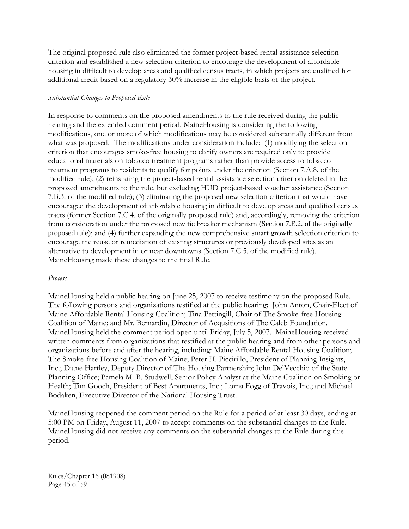The original proposed rule also eliminated the former project-based rental assistance selection criterion and established a new selection criterion to encourage the development of affordable housing in difficult to develop areas and qualified census tracts, in which projects are qualified for additional credit based on a regulatory 30% increase in the eligible basis of the project.

### *Substantial Changes to Proposed Rule*

In response to comments on the proposed amendments to the rule received during the public hearing and the extended comment period, MaineHousing is considering the following modifications, one or more of which modifications may be considered substantially different from what was proposed. The modifications under consideration include: (1) modifying the selection criterion that encourages smoke-free housing to clarify owners are required only to provide educational materials on tobacco treatment programs rather than provide access to tobacco treatment programs to residents to qualify for points under the criterion (Section 7.A.8. of the modified rule); (2) reinstating the project-based rental assistance selection criterion deleted in the proposed amendments to the rule, but excluding HUD project-based voucher assistance (Section 7.B.3. of the modified rule); (3) eliminating the proposed new selection criterion that would have encouraged the development of affordable housing in difficult to develop areas and qualified census tracts (former Section 7.C.4. of the originally proposed rule) and, accordingly, removing the criterion from consideration under the proposed new tie breaker mechanism (Section 7.E.2. of the originally proposed rule); and (4) further expanding the new comprehensive smart growth selection criterion to encourage the reuse or remediation of existing structures or previously developed sites as an alternative to development in or near downtowns (Section 7.C.5. of the modified rule). MaineHousing made these changes to the final Rule.

#### *Process*

MaineHousing held a public hearing on June 25, 2007 to receive testimony on the proposed Rule. The following persons and organizations testified at the public hearing: John Anton, Chair-Elect of Maine Affordable Rental Housing Coalition; Tina Pettingill, Chair of The Smoke-free Housing Coalition of Maine; and Mr. Bernardin, Director of Acqusitions of The Caleb Foundation. MaineHousing held the comment period open until Friday, July 5, 2007. MaineHousing received written comments from organizations that testified at the public hearing and from other persons and organizations before and after the hearing, including: Maine Affordable Rental Housing Coalition; The Smoke-free Housing Coalition of Maine; Peter H. Piccirillo, President of Planning Insights, Inc.; Diane Hartley, Deputy Director of The Housing Partnership; John DelVecchio of the State Planning Office; Pamela M. B. Studwell, Senior Policy Analyst at the Maine Coalition on Smoking or Health; Tim Gooch, President of Best Apartments, Inc.; Lorna Fogg of Travois, Inc.; and Michael Bodaken, Executive Director of the National Housing Trust.

MaineHousing reopened the comment period on the Rule for a period of at least 30 days, ending at 5:00 PM on Friday, August 11, 2007 to accept comments on the substantial changes to the Rule. MaineHousing did not receive any comments on the substantial changes to the Rule during this period.

Rules/Chapter 16 (081908) Page 45 of 59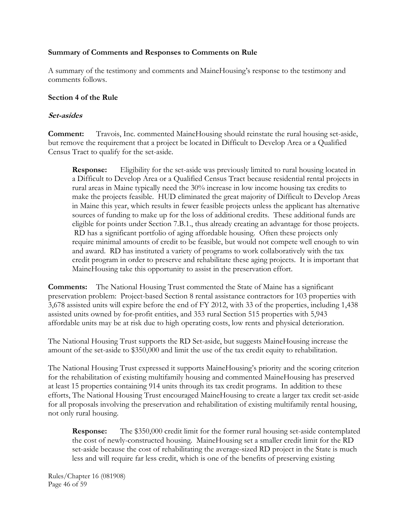#### **Summary of Comments and Responses to Comments on Rule**

A summary of the testimony and comments and MaineHousing's response to the testimony and comments follows.

### **Section 4 of the Rule**

### **Set-asides**

**Comment:** Travois, Inc. commented MaineHousing should reinstate the rural housing set-aside, but remove the requirement that a project be located in Difficult to Develop Area or a Qualified Census Tract to qualify for the set-aside.

**Response:** Eligibility for the set-aside was previously limited to rural housing located in a Difficult to Develop Area or a Qualified Census Tract because residential rental projects in rural areas in Maine typically need the 30% increase in low income housing tax credits to make the projects feasible. HUD eliminated the great majority of Difficult to Develop Areas in Maine this year, which results in fewer feasible projects unless the applicant has alternative sources of funding to make up for the loss of additional credits. These additional funds are eligible for points under Section 7.B.1., thus already creating an advantage for those projects. RD has a significant portfolio of aging affordable housing. Often these projects only require minimal amounts of credit to be feasible, but would not compete well enough to win and award. RD has instituted a variety of programs to work collaboratively with the tax credit program in order to preserve and rehabilitate these aging projects. It is important that MaineHousing take this opportunity to assist in the preservation effort.

**Comments:** The National Housing Trust commented the State of Maine has a significant preservation problem: Project-based Section 8 rental assistance contractors for 103 properties with 3,678 assisted units will expire before the end of FY 2012, with 33 of the properties, including 1,438 assisted units owned by for-profit entities, and 353 rural Section 515 properties with 5,943 affordable units may be at risk due to high operating costs, low rents and physical deterioration.

The National Housing Trust supports the RD Set-aside, but suggests MaineHousing increase the amount of the set-aside to \$350,000 and limit the use of the tax credit equity to rehabilitation.

The National Housing Trust expressed it supports MaineHousing's priority and the scoring criterion for the rehabilitation of existing multifamily housing and commented MaineHousing has preserved at least 15 properties containing 914 units through its tax credit programs. In addition to these efforts, The National Housing Trust encouraged MaineHousing to create a larger tax credit set-aside for all proposals involving the preservation and rehabilitation of existing multifamily rental housing, not only rural housing.

**Response:** The \$350,000 credit limit for the former rural housing set-aside contemplated the cost of newly-constructed housing. MaineHousing set a smaller credit limit for the RD set-aside because the cost of rehabilitating the average-sized RD project in the State is much less and will require far less credit, which is one of the benefits of preserving existing

Rules/Chapter 16 (081908) Page 46 of 59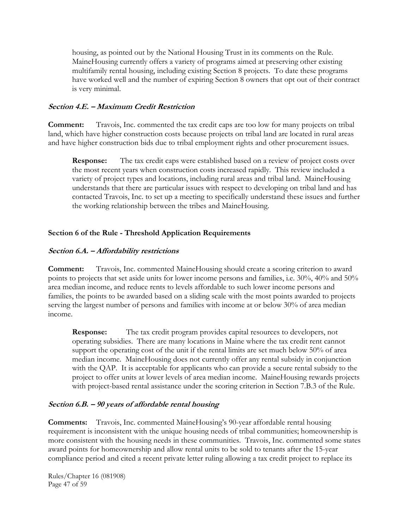housing, as pointed out by the National Housing Trust in its comments on the Rule. MaineHousing currently offers a variety of programs aimed at preserving other existing multifamily rental housing, including existing Section 8 projects. To date these programs have worked well and the number of expiring Section 8 owners that opt out of their contract is very minimal.

### **Section 4.E. – Maximum Credit Restriction**

**Comment:** Travois, Inc. commented the tax credit caps are too low for many projects on tribal land, which have higher construction costs because projects on tribal land are located in rural areas and have higher construction bids due to tribal employment rights and other procurement issues.

**Response:** The tax credit caps were established based on a review of project costs over the most recent years when construction costs increased rapidly. This review included a variety of project types and locations, including rural areas and tribal land. MaineHousing understands that there are particular issues with respect to developing on tribal land and has contacted Travois, Inc. to set up a meeting to specifically understand these issues and further the working relationship between the tribes and MaineHousing.

# **Section 6 of the Rule - Threshold Application Requirements**

## **Section 6.A. – Affordability restrictions**

**Comment:** Travois, Inc. commented MaineHousing should create a scoring criterion to award points to projects that set aside units for lower income persons and families, i.e. 30%, 40% and 50% area median income, and reduce rents to levels affordable to such lower income persons and families, the points to be awarded based on a sliding scale with the most points awarded to projects serving the largest number of persons and families with income at or below 30% of area median income.

**Response:** The tax credit program provides capital resources to developers, not operating subsidies. There are many locations in Maine where the tax credit rent cannot support the operating cost of the unit if the rental limits are set much below 50% of area median income. MaineHousing does not currently offer any rental subsidy in conjunction with the QAP. It is acceptable for applicants who can provide a secure rental subsidy to the project to offer units at lower levels of area median income. MaineHousing rewards projects with project-based rental assistance under the scoring criterion in Section 7.B.3 of the Rule.

# **Section 6.B. – 90 years of affordable rental housing**

**Comments:** Travois, Inc. commented MaineHousing's 90-year affordable rental housing requirement is inconsistent with the unique housing needs of tribal communities; homeownership is more consistent with the housing needs in these communities. Travois, Inc. commented some states award points for homeownership and allow rental units to be sold to tenants after the 15-year compliance period and cited a recent private letter ruling allowing a tax credit project to replace its

Rules/Chapter 16 (081908) Page 47 of 59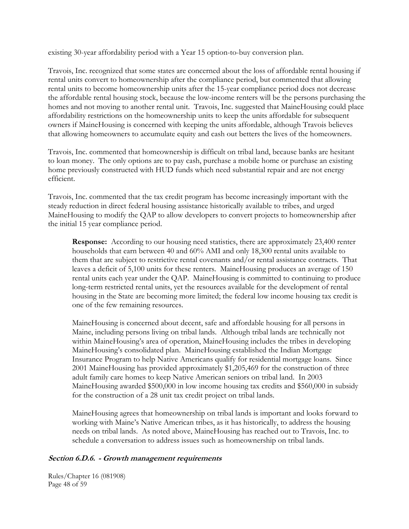existing 30-year affordability period with a Year 15 option-to-buy conversion plan.

Travois, Inc. recognized that some states are concerned about the loss of affordable rental housing if rental units convert to homeownership after the compliance period, but commented that allowing rental units to become homeownership units after the 15-year compliance period does not decrease the affordable rental housing stock, because the low-income renters will be the persons purchasing the homes and not moving to another rental unit. Travois, Inc. suggested that MaineHousing could place affordability restrictions on the homeownership units to keep the units affordable for subsequent owners if MaineHousing is concerned with keeping the units affordable, although Travois believes that allowing homeowners to accumulate equity and cash out betters the lives of the homeowners.

Travois, Inc. commented that homeownership is difficult on tribal land, because banks are hesitant to loan money. The only options are to pay cash, purchase a mobile home or purchase an existing home previously constructed with HUD funds which need substantial repair and are not energy efficient.

Travois, Inc. commented that the tax credit program has become increasingly important with the steady reduction in direct federal housing assistance historically available to tribes, and urged MaineHousing to modify the QAP to allow developers to convert projects to homeownership after the initial 15 year compliance period.

**Response:** According to our housing need statistics, there are approximately 23,400 renter households that earn between 40 and 60% AMI and only 18,300 rental units available to them that are subject to restrictive rental covenants and/or rental assistance contracts. That leaves a deficit of 5,100 units for these renters. MaineHousing produces an average of 150 rental units each year under the QAP. MaineHousing is committed to continuing to produce long-term restricted rental units, yet the resources available for the development of rental housing in the State are becoming more limited; the federal low income housing tax credit is one of the few remaining resources.

MaineHousing is concerned about decent, safe and affordable housing for all persons in Maine, including persons living on tribal lands. Although tribal lands are technically not within MaineHousing's area of operation, MaineHousing includes the tribes in developing MaineHousing's consolidated plan. MaineHousing established the Indian Mortgage Insurance Program to help Native Americans qualify for residential mortgage loans. Since 2001 MaineHousing has provided approximately \$1,205,469 for the construction of three adult family care homes to keep Native American seniors on tribal land. In 2003 MaineHousing awarded \$500,000 in low income housing tax credits and \$560,000 in subsidy for the construction of a 28 unit tax credit project on tribal lands.

MaineHousing agrees that homeownership on tribal lands is important and looks forward to working with Maine's Native American tribes, as it has historically, to address the housing needs on tribal lands. As noted above, MaineHousing has reached out to Travois, Inc. to schedule a conversation to address issues such as homeownership on tribal lands.

#### **Section 6.D.6. - Growth management requirements**

Rules/Chapter 16 (081908) Page 48 of 59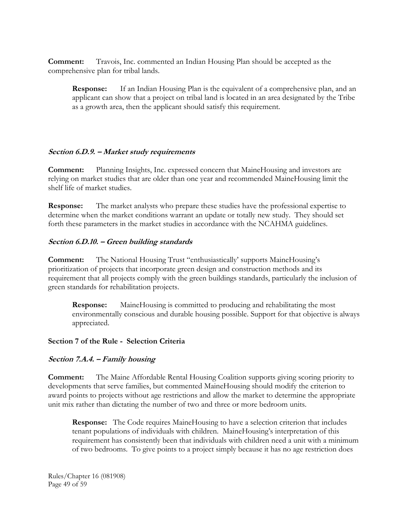**Comment:** Travois, Inc. commented an Indian Housing Plan should be accepted as the comprehensive plan for tribal lands.

**Response:** If an Indian Housing Plan is the equivalent of a comprehensive plan, and an applicant can show that a project on tribal land is located in an area designated by the Tribe as a growth area, then the applicant should satisfy this requirement.

### **Section 6.D.9. – Market study requirements**

**Comment:** Planning Insights, Inc. expressed concern that MaineHousing and investors are relying on market studies that are older than one year and recommended MaineHousing limit the shelf life of market studies.

**Response:** The market analysts who prepare these studies have the professional expertise to determine when the market conditions warrant an update or totally new study. They should set forth these parameters in the market studies in accordance with the NCAHMA guidelines.

### **Section 6.D.10. – Green building standards**

**Comment:** The National Housing Trust "enthusiastically' supports MaineHousing's prioritization of projects that incorporate green design and construction methods and its requirement that all projects comply with the green buildings standards, particularly the inclusion of green standards for rehabilitation projects.

 **Response:** MaineHousing is committed to producing and rehabilitating the most environmentally conscious and durable housing possible. Support for that objective is always appreciated.

#### **Section 7 of the Rule - Selection Criteria**

#### **Section 7.A.4. – Family housing**

**Comment:** The Maine Affordable Rental Housing Coalition supports giving scoring priority to developments that serve families, but commented MaineHousing should modify the criterion to award points to projects without age restrictions and allow the market to determine the appropriate unit mix rather than dictating the number of two and three or more bedroom units.

**Response:** The Code requires MaineHousing to have a selection criterion that includes tenant populations of individuals with children. MaineHousing's interpretation of this requirement has consistently been that individuals with children need a unit with a minimum of two bedrooms. To give points to a project simply because it has no age restriction does

Rules/Chapter 16 (081908) Page 49 of 59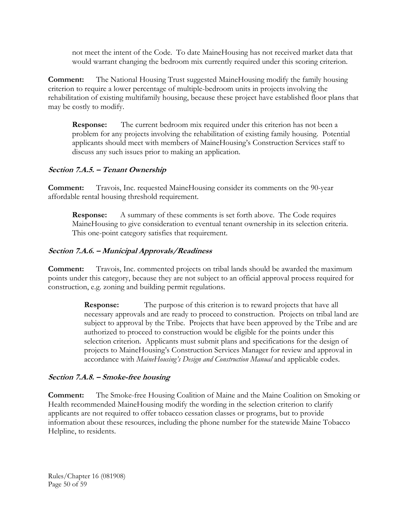not meet the intent of the Code. To date MaineHousing has not received market data that would warrant changing the bedroom mix currently required under this scoring criterion.

**Comment:** The National Housing Trust suggested MaineHousing modify the family housing criterion to require a lower percentage of multiple-bedroom units in projects involving the rehabilitation of existing multifamily housing, because these project have established floor plans that may be costly to modify.

**Response:** The current bedroom mix required under this criterion has not been a problem for any projects involving the rehabilitation of existing family housing. Potential applicants should meet with members of MaineHousing's Construction Services staff to discuss any such issues prior to making an application.

# **Section 7.A.5. – Tenant Ownership**

**Comment:** Travois, Inc. requested MaineHousing consider its comments on the 90-year affordable rental housing threshold requirement.

**Response:** A summary of these comments is set forth above. The Code requires MaineHousing to give consideration to eventual tenant ownership in its selection criteria. This one-point category satisfies that requirement.

## **Section 7.A.6. – Municipal Approvals/Readiness**

**Comment:** Travois, Inc. commented projects on tribal lands should be awarded the maximum points under this category, because they are not subject to an official approval process required for construction, e.g. zoning and building permit regulations.

> **Response:** The purpose of this criterion is to reward projects that have all necessary approvals and are ready to proceed to construction. Projects on tribal land are subject to approval by the Tribe. Projects that have been approved by the Tribe and are authorized to proceed to construction would be eligible for the points under this selection criterion. Applicants must submit plans and specifications for the design of projects to MaineHousing's Construction Services Manager for review and approval in accordance with *MaineHousing's Design and Construction Manual* and applicable codes.

### **Section 7.A.8. – Smoke-free housing**

**Comment:** The Smoke-free Housing Coalition of Maine and the Maine Coalition on Smoking or Health recommended MaineHousing modify the wording in the selection criterion to clarify applicants are not required to offer tobacco cessation classes or programs, but to provide information about these resources, including the phone number for the statewide Maine Tobacco Helpline, to residents.

Rules/Chapter 16 (081908) Page 50 of 59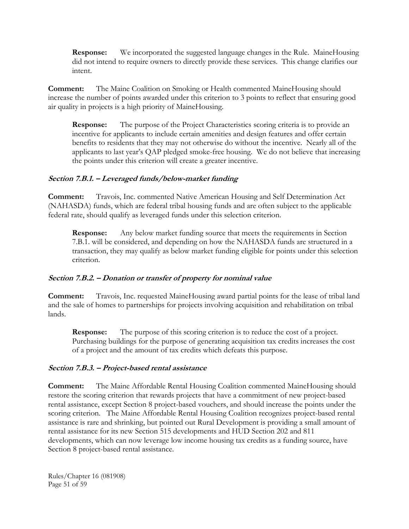**Response:** We incorporated the suggested language changes in the Rule. MaineHousing did not intend to require owners to directly provide these services. This change clarifies our intent.

**Comment:** The Maine Coalition on Smoking or Health commented MaineHousing should increase the number of points awarded under this criterion to 3 points to reflect that ensuring good air quality in projects is a high priority of MaineHousing.

**Response:** The purpose of the Project Characteristics scoring criteria is to provide an incentive for applicants to include certain amenities and design features and offer certain benefits to residents that they may not otherwise do without the incentive. Nearly all of the applicants to last year's QAP pledged smoke-free housing. We do not believe that increasing the points under this criterion will create a greater incentive.

### **Section 7.B.1. – Leveraged funds/below-market funding**

**Comment:** Travois, Inc. commented Native American Housing and Self Determination Act (NAHASDA) funds, which are federal tribal housing funds and are often subject to the applicable federal rate, should qualify as leveraged funds under this selection criterion.

**Response:** Any below market funding source that meets the requirements in Section 7.B.1. will be considered, and depending on how the NAHASDA funds are structured in a transaction, they may qualify as below market funding eligible for points under this selection criterion.

### **Section 7.B.2. – Donation or transfer of property for nominal value**

**Comment:** Travois, Inc. requested MaineHousing award partial points for the lease of tribal land and the sale of homes to partnerships for projects involving acquisition and rehabilitation on tribal lands.

**Response:** The purpose of this scoring criterion is to reduce the cost of a project. Purchasing buildings for the purpose of generating acquisition tax credits increases the cost of a project and the amount of tax credits which defeats this purpose.

### **Section 7.B.3. – Project-based rental assistance**

**Comment:** The Maine Affordable Rental Housing Coalition commented MaineHousing should restore the scoring criterion that rewards projects that have a commitment of new project-based rental assistance, except Section 8 project-based vouchers, and should increase the points under the scoring criterion. The Maine Affordable Rental Housing Coalition recognizes project-based rental assistance is rare and shrinking, but pointed out Rural Development is providing a small amount of rental assistance for its new Section 515 developments and HUD Section 202 and 811 developments, which can now leverage low income housing tax credits as a funding source, have Section 8 project-based rental assistance.

Rules/Chapter 16 (081908) Page 51 of 59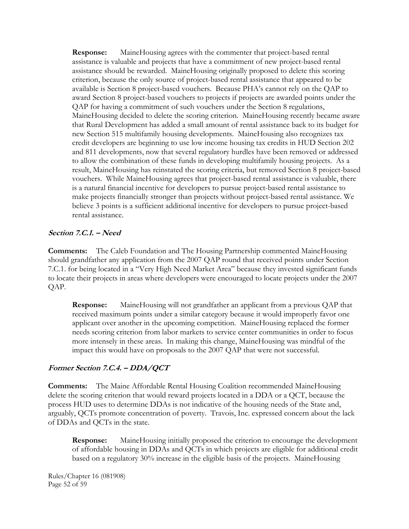**Response:** MaineHousing agrees with the commenter that project-based rental assistance is valuable and projects that have a commitment of new project-based rental assistance should be rewarded. MaineHousing originally proposed to delete this scoring criterion, because the only source of project-based rental assistance that appeared to be available is Section 8 project-based vouchers. Because PHA's cannot rely on the QAP to award Section 8 project-based vouchers to projects if projects are awarded points under the QAP for having a commitment of such vouchers under the Section 8 regulations, MaineHousing decided to delete the scoring criterion. MaineHousing recently became aware that Rural Development has added a small amount of rental assistance back to its budget for new Section 515 multifamily housing developments. MaineHousing also recognizes tax credit developers are beginning to use low income housing tax credits in HUD Section 202 and 811 developments, now that several regulatory hurdles have been removed or addressed to allow the combination of these funds in developing multifamily housing projects. As a result, MaineHousing has reinstated the scoring criteria, but removed Section 8 project-based vouchers. While MaineHousing agrees that project-based rental assistance is valuable, there is a natural financial incentive for developers to pursue project-based rental assistance to make projects financially stronger than projects without project-based rental assistance. We believe 3 points is a sufficient additional incentive for developers to pursue project-based rental assistance.

## **Section 7.C.1. – Need**

**Comments:** The Caleb Foundation and The Housing Partnership commented MaineHousing should grandfather any application from the 2007 QAP round that received points under Section 7.C.1. for being located in a "Very High Need Market Area" because they invested significant funds to locate their projects in areas where developers were encouraged to locate projects under the 2007 QAP.

**Response:** MaineHousing will not grandfather an applicant from a previous QAP that received maximum points under a similar category because it would improperly favor one applicant over another in the upcoming competition. MaineHousing replaced the former needs scoring criterion from labor markets to service center communities in order to focus more intensely in these areas. In making this change, MaineHousing was mindful of the impact this would have on proposals to the 2007 QAP that were not successful.

# **Former Section 7.C.4. – DDA/QCT**

**Comments:** The Maine Affordable Rental Housing Coalition recommended MaineHousing delete the scoring criterion that would reward projects located in a DDA or a QCT, because the process HUD uses to determine DDAs is not indicative of the housing needs of the State and, arguably, QCTs promote concentration of poverty. Travois, Inc. expressed concern about the lack of DDAs and QCTs in the state.

**Response:** MaineHousing initially proposed the criterion to encourage the development of affordable housing in DDAs and QCTs in which projects are eligible for additional credit based on a regulatory 30% increase in the eligible basis of the projects. MaineHousing

Rules/Chapter 16 (081908) Page 52 of 59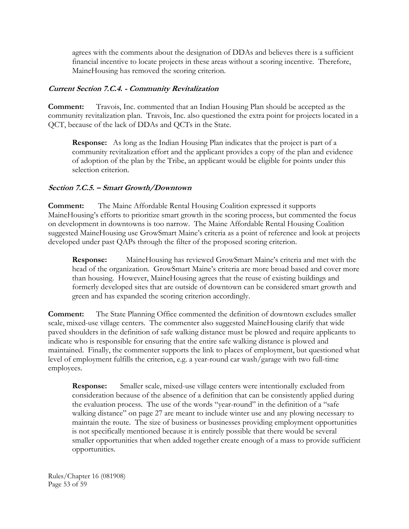agrees with the comments about the designation of DDAs and believes there is a sufficient financial incentive to locate projects in these areas without a scoring incentive. Therefore, MaineHousing has removed the scoring criterion.

### **Current Section 7.C.4. - Community Revitalization**

**Comment:** Travois, Inc. commented that an Indian Housing Plan should be accepted as the community revitalization plan. Travois, Inc. also questioned the extra point for projects located in a QCT, because of the lack of DDAs and QCTs in the State.

**Response:** As long as the Indian Housing Plan indicates that the project is part of a community revitalization effort and the applicant provides a copy of the plan and evidence of adoption of the plan by the Tribe, an applicant would be eligible for points under this selection criterion.

## **Section 7.C.5. – Smart Growth/Downtown**

**Comment:** The Maine Affordable Rental Housing Coalition expressed it supports MaineHousing's efforts to prioritize smart growth in the scoring process, but commented the focus on development in downtowns is too narrow. The Maine Affordable Rental Housing Coalition suggested MaineHousing use GrowSmart Maine's criteria as a point of reference and look at projects developed under past QAPs through the filter of the proposed scoring criterion.

**Response:** MaineHousing has reviewed GrowSmart Maine's criteria and met with the head of the organization. GrowSmart Maine's criteria are more broad based and cover more than housing. However, MaineHousing agrees that the reuse of existing buildings and formerly developed sites that are outside of downtown can be considered smart growth and green and has expanded the scoring criterion accordingly.

**Comment:** The State Planning Office commented the definition of downtown excludes smaller scale, mixed-use village centers. The commenter also suggested MaineHousing clarify that wide paved shoulders in the definition of safe walking distance must be plowed and require applicants to indicate who is responsible for ensuring that the entire safe walking distance is plowed and maintained. Finally, the commenter supports the link to places of employment, but questioned what level of employment fulfills the criterion, e.g. a year-round car wash/garage with two full-time employees.

**Response:** Smaller scale, mixed-use village centers were intentionally excluded from consideration because of the absence of a definition that can be consistently applied during the evaluation process. The use of the words "year-round" in the definition of a "safe walking distance" on page 27 are meant to include winter use and any plowing necessary to maintain the route. The size of business or businesses providing employment opportunities is not specifically mentioned because it is entirely possible that there would be several smaller opportunities that when added together create enough of a mass to provide sufficient opportunities.

Rules/Chapter 16 (081908) Page 53 of 59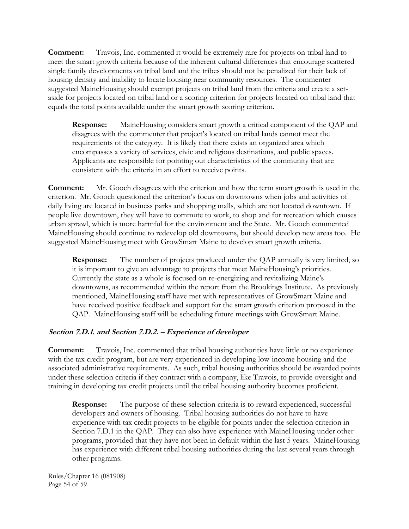**Comment:** Travois, Inc. commented it would be extremely rare for projects on tribal land to meet the smart growth criteria because of the inherent cultural differences that encourage scattered single family developments on tribal land and the tribes should not be penalized for their lack of housing density and inability to locate housing near community resources. The commenter suggested MaineHousing should exempt projects on tribal land from the criteria and create a setaside for projects located on tribal land or a scoring criterion for projects located on tribal land that equals the total points available under the smart growth scoring criterion.

**Response:** MaineHousing considers smart growth a critical component of the QAP and disagrees with the commenter that project's located on tribal lands cannot meet the requirements of the category. It is likely that there exists an organized area which encompasses a variety of services, civic and religious destinations, and public spaces. Applicants are responsible for pointing out characteristics of the community that are consistent with the criteria in an effort to receive points.

**Comment:** Mr. Gooch disagrees with the criterion and how the term smart growth is used in the criterion. Mr. Gooch questioned the criterion's focus on downtowns when jobs and activities of daily living are located in business parks and shopping malls, which are not located downtown. If people live downtown, they will have to commute to work, to shop and for recreation which causes urban sprawl, which is more harmful for the environment and the State. Mr. Gooch commented MaineHousing should continue to redevelop old downtowns, but should develop new areas too. He suggested MaineHousing meet with GrowSmart Maine to develop smart growth criteria.

**Response:** The number of projects produced under the QAP annually is very limited, so it is important to give an advantage to projects that meet MaineHousing's priorities. Currently the state as a whole is focused on re-energizing and revitalizing Maine's downtowns, as recommended within the report from the Brookings Institute. As previously mentioned, MaineHousing staff have met with representatives of GrowSmart Maine and have received positive feedback and support for the smart growth criterion proposed in the QAP. MaineHousing staff will be scheduling future meetings with GrowSmart Maine.

# **Section 7.D.1. and Section 7.D.2. – Experience of developer**

**Comment:** Travois, Inc. commented that tribal housing authorities have little or no experience with the tax credit program, but are very experienced in developing low-income housing and the associated administrative requirements. As such, tribal housing authorities should be awarded points under these selection criteria if they contract with a company, like Travois, to provide oversight and training in developing tax credit projects until the tribal housing authority becomes proficient.

**Response:** The purpose of these selection criteria is to reward experienced, successful developers and owners of housing. Tribal housing authorities do not have to have experience with tax credit projects to be eligible for points under the selection criterion in Section 7.D.1 in the QAP. They can also have experience with MaineHousing under other programs, provided that they have not been in default within the last 5 years. MaineHousing has experience with different tribal housing authorities during the last several years through other programs.

Rules/Chapter 16 (081908) Page 54 of 59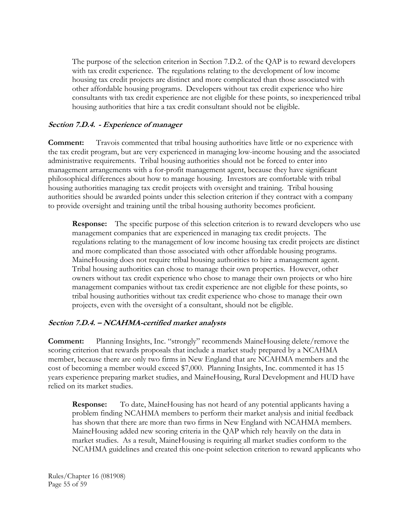The purpose of the selection criterion in Section 7.D.2. of the QAP is to reward developers with tax credit experience. The regulations relating to the development of low income housing tax credit projects are distinct and more complicated than those associated with other affordable housing programs. Developers without tax credit experience who hire consultants with tax credit experience are not eligible for these points, so inexperienced tribal housing authorities that hire a tax credit consultant should not be eligible.

## **Section 7.D.4. - Experience of manager**

**Comment:** Travois commented that tribal housing authorities have little or no experience with the tax credit program, but are very experienced in managing low-income housing and the associated administrative requirements. Tribal housing authorities should not be forced to enter into management arrangements with a for-profit management agent, because they have significant philosophical differences about how to manage housing. Investors are comfortable with tribal housing authorities managing tax credit projects with oversight and training. Tribal housing authorities should be awarded points under this selection criterion if they contract with a company to provide oversight and training until the tribal housing authority becomes proficient.

**Response:** The specific purpose of this selection criterion is to reward developers who use management companies that are experienced in managing tax credit projects. The regulations relating to the management of low income housing tax credit projects are distinct and more complicated than those associated with other affordable housing programs. MaineHousing does not require tribal housing authorities to hire a management agent. Tribal housing authorities can chose to manage their own properties. However, other owners without tax credit experience who chose to manage their own projects or who hire management companies without tax credit experience are not eligible for these points, so tribal housing authorities without tax credit experience who chose to manage their own projects, even with the oversight of a consultant, should not be eligible.

### **Section 7.D.4. – NCAHMA-certified market analysts**

**Comment:** Planning Insights, Inc. "strongly" recommends MaineHousing delete/remove the scoring criterion that rewards proposals that include a market study prepared by a NCAHMA member, because there are only two firms in New England that are NCAHMA members and the cost of becoming a member would exceed \$7,000. Planning Insights, Inc. commented it has 15 years experience preparing market studies, and MaineHousing, Rural Development and HUD have relied on its market studies.

**Response:** To date, MaineHousing has not heard of any potential applicants having a problem finding NCAHMA members to perform their market analysis and initial feedback has shown that there are more than two firms in New England with NCAHMA members. MaineHousing added new scoring criteria in the QAP which rely heavily on the data in market studies. As a result, MaineHousing is requiring all market studies conform to the NCAHMA guidelines and created this one-point selection criterion to reward applicants who

Rules/Chapter 16 (081908) Page 55 of 59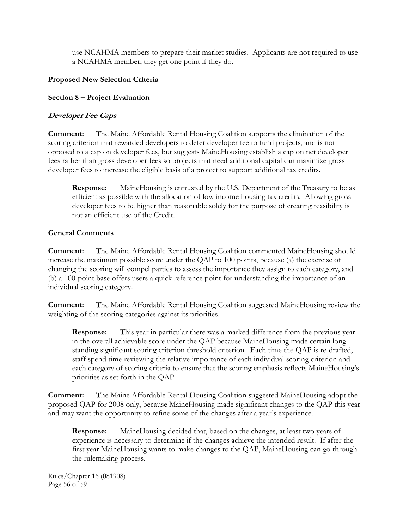use NCAHMA members to prepare their market studies. Applicants are not required to use a NCAHMA member; they get one point if they do.

# **Proposed New Selection Criteria**

## **Section 8 – Project Evaluation**

# **Developer Fee Caps**

**Comment:** The Maine Affordable Rental Housing Coalition supports the elimination of the scoring criterion that rewarded developers to defer developer fee to fund projects, and is not opposed to a cap on developer fees, but suggests MaineHousing establish a cap on net developer fees rather than gross developer fees so projects that need additional capital can maximize gross developer fees to increase the eligible basis of a project to support additional tax credits.

**Response:** MaineHousing is entrusted by the U.S. Department of the Treasury to be as efficient as possible with the allocation of low income housing tax credits. Allowing gross developer fees to be higher than reasonable solely for the purpose of creating feasibility is not an efficient use of the Credit.

## **General Comments**

**Comment:** The Maine Affordable Rental Housing Coalition commented MaineHousing should increase the maximum possible score under the QAP to 100 points, because (a) the exercise of changing the scoring will compel parties to assess the importance they assign to each category, and (b) a 100-point base offers users a quick reference point for understanding the importance of an individual scoring category.

**Comment:** The Maine Affordable Rental Housing Coalition suggested MaineHousing review the weighting of the scoring categories against its priorities.

**Response:** This year in particular there was a marked difference from the previous year in the overall achievable score under the QAP because MaineHousing made certain longstanding significant scoring criterion threshold criterion. Each time the QAP is re-drafted, staff spend time reviewing the relative importance of each individual scoring criterion and each category of scoring criteria to ensure that the scoring emphasis reflects MaineHousing's priorities as set forth in the QAP.

**Comment:** The Maine Affordable Rental Housing Coalition suggested MaineHousing adopt the proposed QAP for 2008 only, because MaineHousing made significant changes to the QAP this year and may want the opportunity to refine some of the changes after a year's experience.

**Response:** MaineHousing decided that, based on the changes, at least two years of experience is necessary to determine if the changes achieve the intended result. If after the first year MaineHousing wants to make changes to the QAP, MaineHousing can go through the rulemaking process.

Rules/Chapter 16 (081908) Page 56 of 59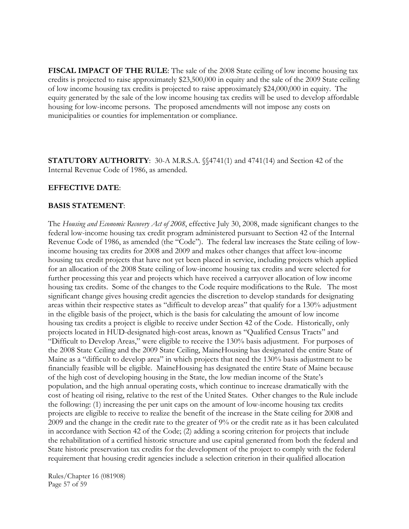**FISCAL IMPACT OF THE RULE**: The sale of the 2008 State ceiling of low income housing tax credits is projected to raise approximately \$23,500,000 in equity and the sale of the 2009 State ceiling of low income housing tax credits is projected to raise approximately \$24,000,000 in equity. The equity generated by the sale of the low income housing tax credits will be used to develop affordable housing for low-income persons. The proposed amendments will not impose any costs on municipalities or counties for implementation or compliance.

**STATUTORY AUTHORITY:** 30-A M.R.S.A.  $\frac{24741(1)}{1}$  and 4741(14) and Section 42 of the Internal Revenue Code of 1986, as amended.

#### **EFFECTIVE DATE**:

#### **BASIS STATEMENT**:

The *Housing and Economic Recovery Act of 2008*, effective July 30, 2008, made significant changes to the federal low-income housing tax credit program administered pursuant to Section 42 of the Internal Revenue Code of 1986, as amended (the "Code"). The federal law increases the State ceiling of lowincome housing tax credits for 2008 and 2009 and makes other changes that affect low-income housing tax credit projects that have not yet been placed in service, including projects which applied for an allocation of the 2008 State ceiling of low-income housing tax credits and were selected for further processing this year and projects which have received a carryover allocation of low income housing tax credits. Some of the changes to the Code require modifications to the Rule. The most significant change gives housing credit agencies the discretion to develop standards for designating areas within their respective states as "difficult to develop areas" that qualify for a 130% adjustment in the eligible basis of the project, which is the basis for calculating the amount of low income housing tax credits a project is eligible to receive under Section 42 of the Code. Historically, only projects located in HUD-designated high-cost areas, known as "Qualified Census Tracts" and "Difficult to Develop Areas," were eligible to receive the 130% basis adjustment. For purposes of the 2008 State Ceiling and the 2009 State Ceiling, MaineHousing has designated the entire State of Maine as a "difficult to develop area" in which projects that need the 130% basis adjustment to be financially feasible will be eligible. MaineHousing has designated the entire State of Maine because of the high cost of developing housing in the State, the low median income of the State's population, and the high annual operating costs, which continue to increase dramatically with the cost of heating oil rising, relative to the rest of the United States. Other changes to the Rule include the following: (1) increasing the per unit caps on the amount of low-income housing tax credits projects are eligible to receive to realize the benefit of the increase in the State ceiling for 2008 and 2009 and the change in the credit rate to the greater of 9% or the credit rate as it has been calculated in accordance with Section 42 of the Code; (2) adding a scoring criterion for projects that include the rehabilitation of a certified historic structure and use capital generated from both the federal and State historic preservation tax credits for the development of the project to comply with the federal requirement that housing credit agencies include a selection criterion in their qualified allocation

Rules/Chapter 16 (081908) Page 57 of 59